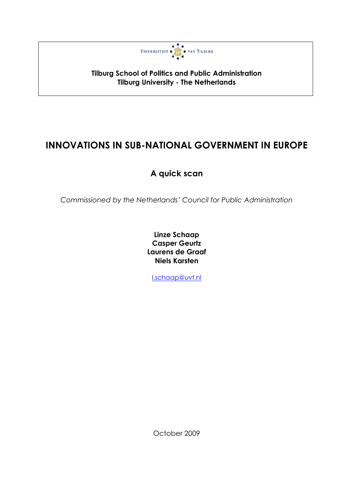

**Tilburg School of Politics and Public Administration Tilburg University - The Netherlands** 

# **INNOVATIONS IN SUB-NATIONAL GOVERNMENT IN EUROPE**

# A quick scan

Commissioned by the Netherlands' Council for Public Administration

Linze Schaap **Casper Geurtz** Laurens de Graaf **Niels Karsten** 

I.schaap@uvt.nl

October 2009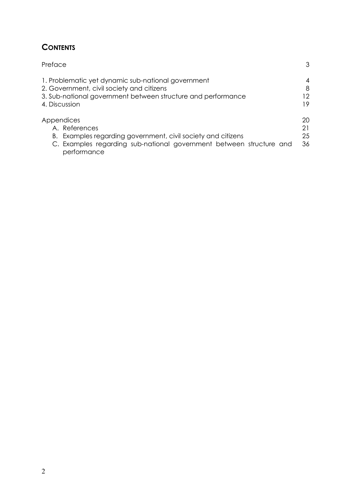# **CONTENTS**

| Preface                                                                            | 3  |
|------------------------------------------------------------------------------------|----|
| 1. Problematic yet dynamic sub-national government                                 | 4  |
| 2. Government, civil society and citizens                                          | 8  |
| 3. Sub-national government between structure and performance                       | 12 |
| 4. Discussion                                                                      | 19 |
| Appendices                                                                         | 20 |
| A. References                                                                      | 21 |
| B. Examples regarding government, civil society and citizens                       | 25 |
| C. Examples regarding sub-national government between structure and<br>performance | 36 |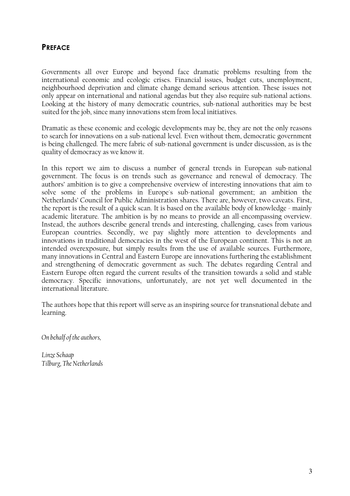### **PREFACE**

Governments all over Europe and beyond face dramatic problems resulting from the international economic and ecologic crises. Financial issues, budget cuts, unemployment, neighbourhood deprivation and climate change demand serious attention. These issues not only appear on international and national agendas but they also require sub-national actions. Looking at the history of many democratic countries, sub-national authorities may be best suited for the job, since many innovations stem from local initiatives.

Dramatic as these economic and ecologic developments may be, they are not the only reasons to search for innovations on a sub-national level. Even without them, democratic government is being challenged. The mere fabric of sub-national government is under discussion, as is the quality of democracy as we know it.

In this report we aim to discuss a number of general trends in European sub-national government. The focus is on trends such as governance and renewal of democracy. The authors' ambition is to give a comprehensive overview of interesting innovations that aim to solve some of the problems in Europe's sub-national government; an ambition the Netherlands' Council for Public Administration shares. There are, however, two caveats. First, the report is the result of a quick scan. It is based on the available body of knowledge - mainly academic literature. The ambition is by no means to provide an all-encompassing overview. Instead, the authors describe general trends and interesting, challenging, cases from various European countries. Secondly, we pay slightly more attention to developments and innovations in traditional democracies in the west of the European continent. This is not an intended overexposure, but simply results from the use of available sources. Furthermore, many innovations in Central and Eastern Europe are innovations furthering the establishment and strengthening of democratic government as such. The debates regarding Central and Eastern Europe often regard the current results of the transition towards a solid and stable democracy. Specific innovations, unfortunately, are not yet well documented in the international literature.

The authors hope that this report will serve as an inspiring source for transnational debate and learning.

On behalf of the authors,

Linze Schaap Tilburg, The Netherlands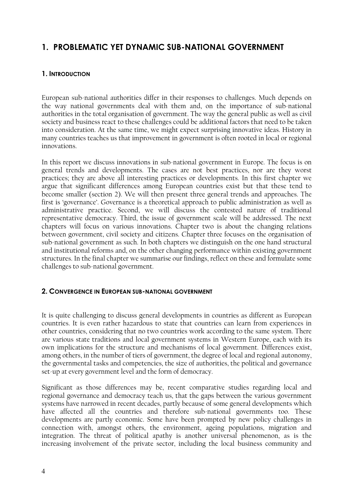# 1. PROBLEMATIC YET DYNAMIC SUB-NATIONAL GOVERNMENT

### 1. INTRODUCTION

European sub-national authorities differ in their responses to challenges. Much depends on the way national governments deal with them and, on the importance of sub-national authorities in the total organisation of government. The way the general public as well as civil society and business react to these challenges could be additional factors that need to be taken into consideration. At the same time, we might expect surprising innovative ideas. History in many countries teaches us that improvement in government is often rooted in local or regional innovations.

In this report we discuss innovations in sub-national government in Europe. The focus is on general trends and developments. The cases are not best practices, nor are they worst practices; they are above all interesting practices or developments. In this first chapter we argue that significant differences among European countries exist but that these tend to become smaller (section 2). We will then present three general trends and approaches. The first is 'governance'. Governance is a theoretical approach to public administration as well as administrative practice. Second, we will discuss the contested nature of traditional representative democracy. Third, the issue of government scale will be addressed. The next chapters will focus on various innovations. Chapter two is about the changing relations between government, civil society and citizens. Chapter three focuses on the organisation of sub-national government as such. In both chapters we distinguish on the one hand structural and institutional reforms and, on the other changing performance within existing government structures. In the final chapter we summarise our findings, reflect on these and formulate some challenges to sub-national government.

### 2. CONVERGENCE IN EUROPEAN SUB-NATIONAL GOVERNMENT

It is quite challenging to discuss general developments in countries as different as European countries. It is even rather hazardous to state that countries can learn from experiences in other countries, considering that no two countries work according to the same system. There are various state traditions and local government systems in Western Europe, each with its own implications for the structure and mechanisms of local government. Differences exist, among others, in the number of tiers of government, the degree of local and regional autonomy, the governmental tasks and competencies, the size of authorities, the political and governance set-up at every government level and the form of democracy.

Significant as those differences may be, recent comparative studies regarding local and regional governance and democracy teach us, that the gaps between the various government systems have narrowed in recent decades, partly because of some general developments which have affected all the countries and therefore sub-national governments too. These developments are partly economic. Some have been prompted by new policy challenges in connection with, amongst others, the environment, ageing populations, migration and integration. The threat of political apathy is another universal phenomenon, as is the increasing involvement of the private sector, including the local business community and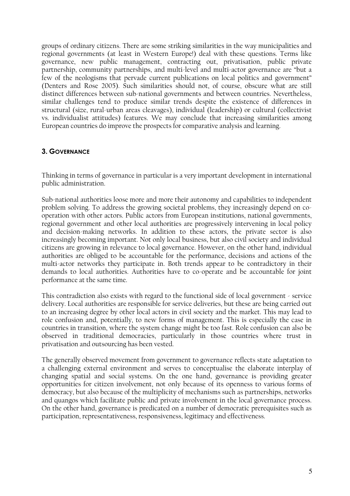groups of ordinary citizens. There are some striking similarities in the way municipalities and regional governments (at least in Western Europe!) deal with these questions. Terms like governance, new public management, contracting out, privatisation, public private partnership, community partnerships, and multi-level and multi-actor governance are "but a few of the neologisms that pervade current publications on local politics and government" (Denters and Rose 2005). Such similarities should not, of course, obscure what are still distinct differences between sub-national governments and between countries. Nevertheless, similar challenges tend to produce similar trends despite the existence of differences in structural (size, rural-urban areas cleavages), individual (leadership) or cultural (collectivist vs. individualist attitudes) features. We may conclude that increasing similarities among European countries do improve the prospects for comparative analysis and learning.

### 3. GOVERNANCE

Thinking in terms of governance in particular is a very important development in international public administration.

Sub-national authorities loose more and more their autonomy and capabilities to independent problem solving. To address the growing societal problems, they increasingly depend on cooperation with other actors. Public actors from European institutions, national governments, regional government and other local authorities are progressively intervening in local policy and decision-making networks. In addition to these actors, the private sector is also increasingly becoming important. Not only local business, but also civil society and individual citizens are growing in relevance to local governance. However, on the other hand, individual authorities are obliged to be accountable for the performance, decisions and actions of the multi-actor networks they participate in. Both trends appear to be contradictory in their demands to local authorities. Authorities have to co-operate and be accountable for joint performance at the same time.

This contradiction also exists with regard to the functional side of local government - service delivery. Local authorities are responsible for service deliveries, but these are being carried out to an increasing degree by other local actors in civil society and the market. This may lead to role confusion and, potentially, to new forms of management. This is especially the case in countries in transition, where the system change might be too fast. Role confusion can also be observed in traditional democracies, particularly in those countries where trust in privatisation and outsourcing has been vested.

The generally observed movement from government to governance reflects state adaptation to a challenging external environment and serves to conceptualise the elaborate interplay of changing spatial and social systems. On the one hand, governance is providing greater opportunities for citizen involvement, not only because of its openness to various forms of democracy, but also because of the multiplicity of mechanisms such as partnerships, networks and quangos which facilitate public and private involvement in the local governance process. On the other hand, governance is predicated on a number of democratic prerequisites such as participation, representativeness, responsiveness, legitimacy and effectiveness.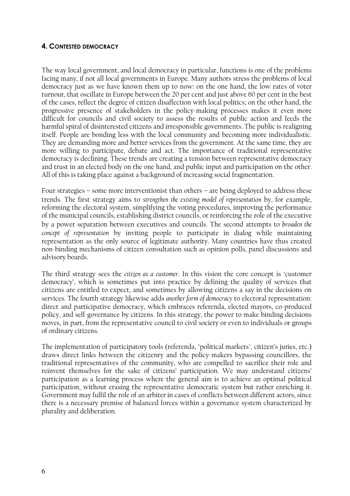### **4. CONTESTED DEMOCRACY**

The way local government, and local democracy in particular, functions is one of the problems facing many, if not all local governments in Europe. Many authors stress the problems of local democracy just as we have known them up to now: on the one hand, the low rates of voter turnout, that oscillate in Europe between the 20 per cent and just above 60 per cent in the best of the cases, reflect the degree of citizen disaffection with local politics; on the other hand, the progressive presence of stakeholders in the policy-making processes makes it even more difficult for councils and civil society to assess the results of public action and feeds the harmful spiral of disinterested citizens and irresponsible governments. The public is realigning itself. People are bonding less with the local community and becoming more individualistic. They are demanding more and better services from the government. At the same time, they are more willing to participate, debate and act. The importance of traditional representative democracy is declining. These trends are creating a tension between representative democracy and trust in an elected body on the one hand, and public input and participation on the other. All of this is taking place against a background of increasing social fragmentation.

Four strategies – some more interventionist than others – are being deployed to address these trends. The first strategy aims to strengthen the existing model of representation by, for example, reforming the electoral system, simplifying the voting procedures, improving the performance of the municipal councils, establishing district councils, or reinforcing the role of the executive by a power separation between executives and councils. The second attempts to broaden the concept of representation by inviting people to participate in dialog while maintaining representation as the only source of legitimate authority. Many countries have thus created non-binding mechanisms of citizen consultation such as opinion polls, panel discussions and advisory boards.

The third strategy sees the citizen as a customer. In this vision the core concept is 'customer democracy', which is sometimes put into practice by defining the quality of services that citizens are entitled to expect, and sometimes by allowing citizens a say in the decisions on services. The fourth strategy likewise adds another form of democracy to electoral representation: direct and participative democracy, which embraces referenda, elected mayors, co-produced policy, and self-governance by citizens. In this strategy, the power to make binding decisions moves, in part, from the representative council to civil society or even to individuals or groups of ordinary citizens.

The implementation of participatory tools (referenda, "political markets", citizen's juries, etc.) draws direct links between the citizenry and the policy-makers bypassing councillors, the traditional representatives of the community, who are compelled to sacrifice their role and reinvent themselves for the sake of citizens' participation. We may understand citizens' participation as a learning process where the general aim is to achieve an optimal political participation, without erasing the representative democratic system but rather enriching it. Government may fulfil the role of an arbiter in cases of conflicts between different actors, since there is a necessary premise of balanced forces within a governance system characterized by plurality and deliberation.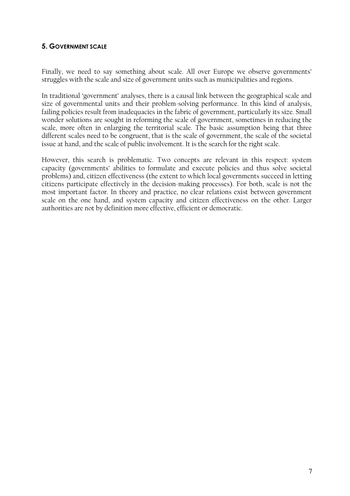### **5. GOVERNMENT SCALE**

Finally, we need to say something about scale. All over Europe we observe governments' struggles with the scale and size of government units such as municipalities and regions.

In traditional 'government' analyses, there is a causal link between the geographical scale and size of governmental units and their problem-solving performance. In this kind of analysis, failing policies result from inadequacies in the fabric of government, particularly its size. Small wonder solutions are sought in reforming the scale of government, sometimes in reducing the scale, more often in enlarging the territorial scale. The basic assumption being that three different scales need to be congruent, that is the scale of government, the scale of the societal issue at hand, and the scale of public involvement. It is the search for the right scale.

However, this search is problematic. Two concepts are relevant in this respect: system capacity (governments' abilities to formulate and execute policies and thus solve societal problems) and, citizen effectiveness (the extent to which local governments succeed in letting citizens participate effectively in the decision-making processes). For both, scale is not the most important factor. In theory and practice, no clear relations exist between government scale on the one hand, and system capacity and citizen effectiveness on the other. Larger authorities are not by definition more effective, efficient or democratic.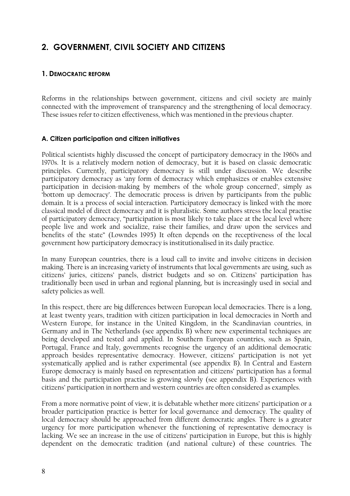# 2. GOVERNMENT, CIVIL SOCIETY AND CITIZENS

### 1. DEMOCRATIC REFORM

Reforms in the relationships between government, citizens and civil society are mainly connected with the improvement of transparency and the strengthening of local democracy. These issues refer to citizen effectiveness, which was mentioned in the previous chapter.

#### A. Citizen participation and citizen initiatives

Political scientists highly discussed the concept of participatory democracy in the 1960s and 1970s. It is a relatively modern notion of democracy, but it is based on classic democratic principles. Currently, participatory democracy is still under discussion. We describe participatory democracy as 'any form of democracy which emphasizes or enables extensive participation in decision-making by members of the whole group concerned', simply as 'bottom up democracy'. The democratic process is driven by participants from the public domain. It is a process of social interaction. Participatory democracy is linked with the more classical model of direct democracy and it is pluralistic. Some authors stress the local practise of participatory democracy, "participation is most likely to take place at the local level where people live and work and socialize, raise their families, and draw upon the services and benefits of the state" (Lowndes 1995) It often depends on the receptiveness of the local government how participatory democracy is institutionalised in its daily practice.

In many European countries, there is a loud call to invite and involve citizens in decision making. There is an increasing variety of instruments that local governments are using, such as citizens' juries, citizens' panels, district budgets and so on. Citizens' participation has traditionally been used in urban and regional planning, but is increasingly used in social and safety policies as well.

In this respect, there are big differences between European local democracies. There is a long, at least twenty years, tradition with citizen participation in local democracies in North and Western Europe, for instance in the United Kingdom, in the Scandinavian countries, in Germany and in The Netherlands (see appendix B) where new experimental techniques are being developed and tested and applied. In Southern European countries, such as Spain, Portugal, France and Italy, governments recognise the urgency of an additional democratic approach besides representative democracy. However, citizens' participation is not yet systematically applied and is rather experimental (see appendix B). In Central and Eastern Europe democracy is mainly based on representation and citizens' participation has a formal basis and the participation practise is growing slowly (see appendix B). Experiences with citizens' participation in northern and western countries are often considered as examples.

From a more normative point of view, it is debatable whether more citizens' participation or a broader participation practice is better for local governance and democracy. The quality of local democracy should be approached from different democratic angles. There is a greater urgency for more participation whenever the functioning of representative democracy is lacking. We see an increase in the use of citizens' participation in Europe, but this is highly dependent on the democratic tradition (and national culture) of these countries. The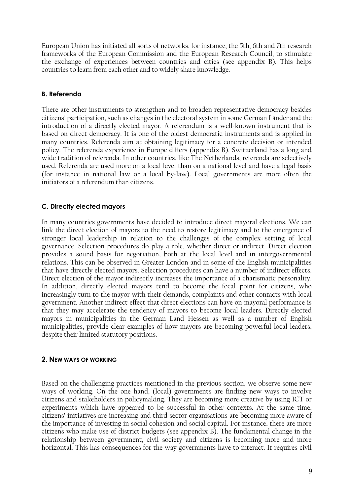European Union has initiated all sorts of networks, for instance, the 5th, 6th and 7th research frameworks of the European Commission and the European Research Council, to stimulate the exchange of experiences between countries and cities (see appendix B). This helps countries to learn from each other and to widely share knowledge.

### **B.** Referenda

There are other instruments to strengthen and to broaden representative democracy besides citizens' participation, such as changes in the electoral system in some German Länder and the introduction of a directly elected mayor. A referendum is a well-known instrument that is based on direct democracy. It is one of the oldest democratic instruments and is applied in many countries. Referenda aim at obtaining legitimacy for a concrete decision or intended policy. The referenda experience in Europe differs (appendix B). Switzerland has a long and wide tradition of referenda. In other countries, like The Netherlands, referenda are selectively used. Referenda are used more on a local level than on a national level and have a legal basis (for instance in national law or a local by-law). Local governments are more often the initiators of a referendum than citizens.

#### C. Directly elected mayors

In many countries governments have decided to introduce direct mayoral elections. We can link the direct election of mayors to the need to restore legitimacy and to the emergence of stronger local leadership in relation to the challenges of the complex setting of local governance. Selection procedures do play a role, whether direct or indirect. Direct election provides a sound basis for negotiation, both at the local level and in intergovernmental relations. This can be observed in Greater London and in some of the English municipalities that have directly elected mayors. Selection procedures can have a number of indirect effects. Direct election of the mayor indirectly increases the importance of a charismatic personality. In addition, directly elected mayors tend to become the focal point for citizens, who increasingly turn to the mayor with their demands, complaints and other contacts with local government. Another indirect effect that direct elections can have on mayoral performance is that they may accelerate the tendency of mayors to become local leaders. Directly elected mayors in municipalities in the German Land Hessen as well as a number of English municipalities, provide clear examples of how mayors are becoming powerful local leaders, despite their limited statutory positions.

#### 2. NEW WAYS OF WORKING

Based on the challenging practices mentioned in the previous section, we observe some new ways of working. On the one hand, (local) governments are finding new ways to involve citizens and stakeholders in policymaking. They are becoming more creative by using ICT or experiments which have appeared to be successful in other contexts. At the same time, citizens' initiatives are increasing and third sector organisations are becoming more aware of the importance of investing in social cohesion and social capital. For instance, there are more citizens who make use of district budgets (see appendix B). The fundamental change in the relationship between government, civil society and citizens is becoming more and more horizontal. This has consequences for the way governments have to interact. It requires civil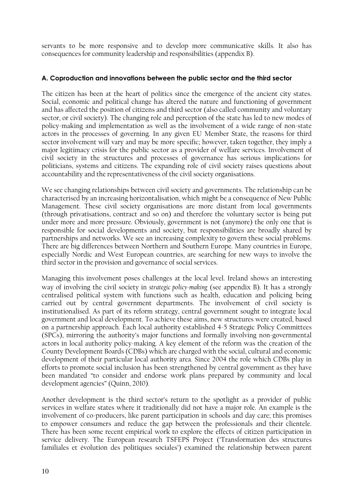servants to be more responsive and to develop more communicative skills. It also has consequences for community leadership and responsibilities (appendix B).

#### A. Coproduction and innovations between the public sector and the third sector

The citizen has been at the heart of politics since the emergence of the ancient city states. Social, economic and political change has altered the nature and functioning of government and has affected the position of citizens and third sector (also called community and voluntary sector, or civil society). The changing role and perception of the state has led to new modes of policy-making and implementation as well as the involvement of a wide range of non-state actors in the processes of governing. In any given EU Member State, the reasons for third sector involvement will vary and may be more specific; however, taken together, they imply a major legitimacy crisis for the public sector as a provider of welfare services. Involvement of civil society in the structures and processes of governance has serious implications for politicians, systems and citizens. The expanding role of civil society raises questions about accountability and the representativeness of the civil society organisations.

We see changing relationships between civil society and governments. The relationship can be characterised by an increasing horizontalisation, which might be a consequence of New Public Management. These civil society organisations are more distant from local governments (through privatisations, contract and so on) and therefore the voluntary sector is being put under more and more pressure. Obviously, government is not (anymore) the only one that is responsible for social developments and society, but responsibilities are broadly shared by partnerships and networks. We see an increasing complexity to govern these social problems. There are big differences between Northern and Southern Europe. Many countries in Europe, especially Nordic and West European countries, are searching for new ways to involve the third sector in the provision and governance of social services.

Managing this involvement poses challenges at the local level. Ireland shows an interesting way of involving the civil society in *strategic policy-making* (see appendix B). It has a strongly centralised political system with functions such as health, education and policing being carried out by central government departments. The involvement of civil society is institutionalised. As part of its reform strategy, central government sought to integrate local government and local development. To achieve these aims, new structures were created, based on a partnership approach. Each local authority established 4-5 Strategic Policy Committees (SPCs), mirroring the authority's major functions and formally involving non-governmental actors in local authority policy-making. A key element of the reform was the creation of the County Development Boards (CDBs) which are charged with the social, cultural and economic development of their particular local authority area. Since 2004 the role which CDBs play in efforts to promote social inclusion has been strengthened by central government as they have been mandated "to consider and endorse work plans prepared by community and local development agencies" (Quinn, 2010).

Another development is the third sector's return to the spotlight as a provider of public services in welfare states where it traditionally did not have a major role. An example is the involvement of co-producers, like parent participation in schools and day care; this promises to empower consumers and reduce the gap between the professionals and their clientele. There has been some recent empirical work to explore the effects of citizen participation in service delivery. The European research TSFEPS Project ('Transformation des structures familiales et évolution des politiques sociales') examined the relationship between parent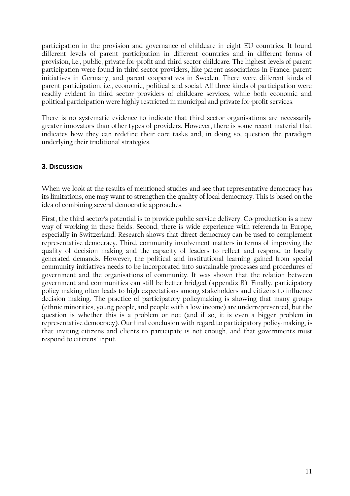participation in the provision and governance of childcare in eight EU countries. It found different levels of parent participation in different countries and in different forms of provision, i.e., public, private for-profit and third sector childcare. The highest levels of parent participation were found in third sector providers, like parent associations in France, parent initiatives in Germany, and parent cooperatives in Sweden. There were different kinds of parent participation, i.e., economic, political and social. All three kinds of participation were readily evident in third sector providers of childcare services, while both economic and political participation were highly restricted in municipal and private for-profit services.

There is no systematic evidence to indicate that third sector organisations are necessarily greater innovators than other types of providers. However, there is some recent material that indicates how they can redefine their core tasks and, in doing so, question the paradigm underlying their traditional strategies.

### 3. DISCUSSION

When we look at the results of mentioned studies and see that representative democracy has its limitations, one may want to strengthen the quality of local democracy. This is based on the idea of combining several democratic approaches.

First, the third sector's potential is to provide public service delivery. Co-production is a new way of working in these fields. Second, there is wide experience with referenda in Europe, especially in Switzerland. Research shows that direct democracy can be used to complement representative democracy. Third, community involvement matters in terms of improving the quality of decision making and the capacity of leaders to reflect and respond to locally generated demands. However, the political and institutional learning gained from special community initiatives needs to be incorporated into sustainable processes and procedures of government and the organisations of community. It was shown that the relation between government and communities can still be better bridged (appendix B). Finally, participatory policy making often leads to high expectations among stakeholders and citizens to influence decision making. The practice of participatory policymaking is showing that many groups (ethnic minorities, young people, and people with a low income) are underrepresented, but the question is whether this is a problem or not (and if so, it is even a bigger problem in representative democracy). Our final conclusion with regard to participatory policy-making, is that inviting citizens and clients to participate is not enough, and that governments must respond to citizens' input.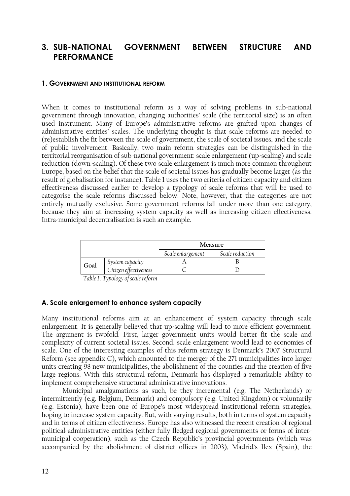#### 3. SUB-NATIONAL **GOVERNMENT BETWEEN STRUCTURE AND PERFORMANCE**

#### 1. GOVERNMENT AND INSTITUTIONAL REFORM

When it comes to institutional reform as a way of solving problems in sub-national government through innovation, changing authorities' scale (the territorial size) is an often used instrument. Many of Europe's administrative reforms are grafted upon changes of administrative entities' scales. The underlying thought is that scale reforms are needed to (re)establish the fit between the scale of government, the scale of societal issues, and the scale of public involvement. Basically, two main reform strategies can be distinguished in the territorial reorganisation of sub-national government: scale enlargement (up-scaling) and scale reduction (down-scaling). Of these two scale enlargement is much more common throughout Europe, based on the belief that the scale of societal issues has gradually become larger (as the result of globalisation for instance). Table 1 uses the two criteria of citizen capacity and citizen effectiveness discussed earlier to develop a typology of scale reforms that will be used to categorise the scale reforms discussed below. Note, however, that the categories are not entirely mutually exclusive. Some government reforms fall under more than one category, because they aim at increasing system capacity as well as increasing citizen effectiveness. Intra-municipal decentralisation is such an example.

|      |                       |                   | <b>Measure</b>  |
|------|-----------------------|-------------------|-----------------|
|      |                       | Scale enlargement | Scale reduction |
| Goal | System capacity       |                   |                 |
|      | Citizen effectiveness |                   |                 |

Table 1: Typology of scale reform

#### A. Scale enlargement to enhance system capacity

Many institutional reforms aim at an enhancement of system capacity through scale enlargement. It is generally believed that up-scaling will lead to more efficient government. The argument is twofold. First, larger government units would better fit the scale and complexity of current societal issues. Second, scale enlargement would lead to economies of scale. One of the interesting examples of this reform strategy is Denmark's 2007 Structural Reform (see appendix C), which amounted to the merger of the 271 municipalities into larger units creating 98 new municipalities, the abolishment of the counties and the creation of five large regions. With this structural reform, Denmark has displayed a remarkable ability to implement comprehensive structural administrative innovations.

Municipal amalgamations as such, be they incremental (e.g. The Netherlands) or intermittently (e.g. Belgium, Denmark) and compulsory (e.g. United Kingdom) or voluntarily (e.g. Estonia), have been one of Europe's most widespread institutional reform strategies, hoping to increase system capacity. But, with varying results, both in terms of system capacity and in terms of citizen effectiveness. Europe has also witnessed the recent creation of regional political-administrative entities (either fully fledged regional governments or forms of intermunicipal cooperation), such as the Czech Republic's provincial governments (which was accompanied by the abolishment of district offices in 2003), Madrid's Ilex (Spain), the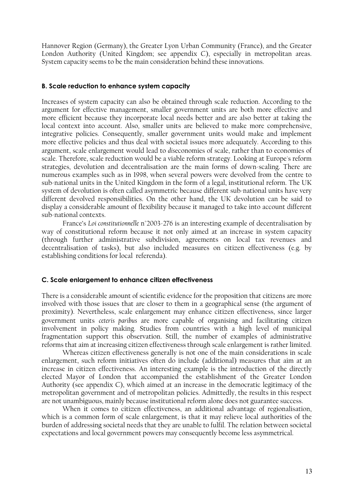Hannover Region (Germany), the Greater Lyon Urban Community (France), and the Greater London Authority (United Kingdom; see appendix C), especially in metropolitan areas. System capacity seems to be the main consideration behind these innovations.

#### **B. Scale reduction to enhance system capacity**

Increases of system capacity can also be obtained through scale reduction. According to the argument for effective management, smaller government units are both more effective and more efficient because they incorporate local needs better and are also better at taking the local context into account. Also, smaller units are believed to make more comprehensive, integrative policies. Consequently, smaller government units would make and implement more effective policies and thus deal with societal issues more adequately. According to this argument, scale enlargement would lead to diseconomies of scale, rather than to economies of scale. Therefore, scale reduction would be a viable reform strategy. Looking at Europe's reform strategies, devolution and decentralisation are the main forms of down-scaling. There are numerous examples such as in 1998, when several powers were devolved from the centre to sub-national units in the United Kingdom in the form of a legal, institutional reform. The UK system of devolution is often called asymmetric because different sub-national units have very different devolved responsibilities. On the other hand, the UK devolution can be said to display a considerable amount of flexibility because it managed to take into account different sub-national contexts.

France's Loi constitutionnelle n°2003-276 is an interesting example of decentralisation by way of constitutional reform because it not only aimed at an increase in system capacity (through further administrative subdivision, agreements on local tax revenues and decentralisation of tasks), but also included measures on citizen effectiveness (e.g. by establishing conditions for local referenda).

#### C. Scale enlargement to enhance citizen effectiveness

There is a considerable amount of scientific evidence for the proposition that citizens are more involved with those issues that are closer to them in a geographical sense (the argument of proximity). Nevertheless, scale enlargement may enhance citizen effectiveness, since larger government units ceteris paribus are more capable of organising and facilitating citizen involvement in policy making. Studies from countries with a high level of municipal fragmentation support this observation. Still, the number of examples of administrative reforms that aim at increasing citizen effectiveness through scale enlargement is rather limited.

Whereas citizen effectiveness generally is not one of the main considerations in scale enlargement, such reform initiatives often do include (additional) measures that aim at an increase in citizen effectiveness. An interesting example is the introduction of the directly elected Mayor of London that accompanied the establishment of the Greater London Authority (see appendix C), which aimed at an increase in the democratic legitimacy of the metropolitan government and of metropolitan policies. Admittedly, the results in this respect are not unambiguous, mainly because institutional reform alone does not guarantee success.

When it comes to citizen effectiveness, an additional advantage of regionalisation, which is a common form of scale enlargement, is that it may relieve local authorities of the burden of addressing societal needs that they are unable to fulfil. The relation between societal expectations and local government powers may consequently become less asymmetrical.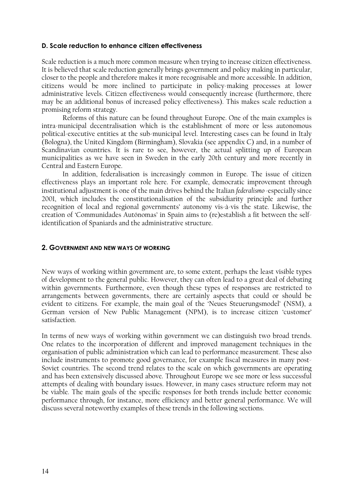#### D. Scale reduction to enhance citizen effectiveness

Scale reduction is a much more common measure when trying to increase citizen effectiveness. It is believed that scale reduction generally brings government and policy making in particular, closer to the people and therefore makes it more recognisable and more accessible. In addition, citizens would be more inclined to participate in policy-making processes at lower administrative levels. Citizen effectiveness would consequently increase (furthermore, there may be an additional bonus of increased policy effectiveness). This makes scale reduction a promising reform strategy.

Reforms of this nature can be found throughout Europe. One of the main examples is intra-municipal decentralisation which is the establishment of more or less autonomous political-executive entities at the sub-municipal level. Interesting cases can be found in Italy (Bologna), the United Kingdom (Birmingham), Slovakia (see appendix C) and, in a number of Scandinavian countries. It is rare to see, however, the actual splitting up of European municipalities as we have seen in Sweden in the early 20th century and more recently in Central and Eastern Europe.

In addition, federalisation is increasingly common in Europe. The issue of citizen effectiveness plays an important role here. For example, democratic improvement through institutional adjustment is one of the main drives behind the Italian federalismo -especially since 2001, which includes the constitutionalisation of the subsidiarity principle and further recognition of local and regional governments' autonomy vis- $\lambda$ -vis the state. Likewise, the creation of 'Communidades Autónomas' in Spain aims to (re)establish a fit between the selfidentification of Spaniards and the administrative structure.

#### 2. GOVERNMENT AND NEW WAYS OF WORKING

New ways of working within government are, to some extent, perhaps the least visible types of development to the general public. However, they can often lead to a great deal of debating within governments. Furthermore, even though these types of responses are restricted to arrangements between governments, there are certainly aspects that could or should be evident to citizens. For example, the main goal of the 'Neues Steuerungsmodel' (NSM), a German version of New Public Management (NPM), is to increase citizen 'customer' satisfaction.

In terms of new ways of working within government we can distinguish two broad trends. One relates to the incorporation of different and improved management techniques in the organisation of public administration which can lead to performance measurement. These also include instruments to promote good governance, for example fiscal measures in many post-Soviet countries. The second trend relates to the scale on which governments are operating and has been extensively discussed above. Throughout Europe we see more or less successful attempts of dealing with boundary issues. However, in many cases structure reform may not be viable. The main goals of the specific responses for both trends include better economic performance through, for instance, more efficiency and better general performance. We will discuss several noteworthy examples of these trends in the following sections.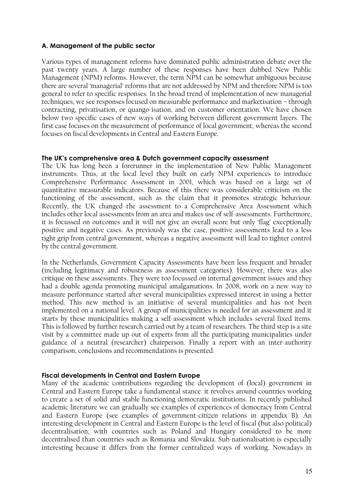#### A. Management of the public sector

Various types of management reforms have dominated public administration debate over the past twenty years. A large number of these responses have been dubbed New Public Management (NPM) reforms. However, the term NPM can be somewhat ambiguous because there are several 'managerial' reforms that are not addressed by NPM and therefore NPM is too general to refer to specific responses. In the broad trend of implementation of new managerial techniques, we see responses focused on measurable performance and marketisation - through contracting, privatisation, or quango-isation, and on customer orientation. We have chosen below two specific cases of new ways of working between different government layers. The first case focuses on the measurement of performance of local government, whereas the second focuses on fiscal developments in Central and Eastern Europe.

#### The UK's comprehensive area & Dutch government capacity assessment

The UK has long been a forerunner in the implementation of New Public Management instruments. Thus, at the local level they built on early NPM experiences to introduce Comprehensive Performance Assessment in 2001, which was based on a large set of quantitative measurable indicators. Because of this there was considerable criticism on the functioning of the assessment, such as the claim that it promotes strategic behaviour. Recently, the UK changed the assessment to a Comprehensive Area Assessment which includes other local assessments from an area and makes use of self-assessments. Furthermore, it is focussed on outcomes and it will not give an overall score but only 'flag' exceptionally positive and negative cases. As previously was the case, positive assessments lead to a less tight grip from central government, whereas a negative assessment will lead to tighter control by the central government.

In the Netherlands, Government Capacity Assessments have been less frequent and broader (including legitimacy and robustness as assessment categories). However, there was also critique on these assessments. They were too focussed on internal government issues and they had a double agenda promoting municipal amalgamations. In 2008, work on a new way to measure performance started after several municipalities expressed interest in using a better method. This new method is an initiative of several municipalities and has not been implemented on a national level. A group of municipalities is needed for an assessment and it starts by these municipalities making a self-assessment which includes several fixed items. This is followed by further research carried out by a team of researchers. The third step is a site visit by a committee made up out of experts from all the participating municipalities under guidance of a neutral (researcher) chairperson. Finally a report with an inter-authority comparison, conclusions and recommendations is presented.

#### **Fiscal developments in Central and Eastern Europe**

Many of the academic contributions regarding the development of (local) government in Central and Eastern Europe take a fundamental stance: it revolves around countries working to create a set of solid and stable functioning democratic institutions. In recently published academic literature we can gradually see examples of experiences of democracy from Central and Eastern Europe (see examples of government-citizen relations in appendix B). An interesting development in Central and Eastern Europe is the level of fiscal (but also political) decentralisation, with countries such as Poland and Hungary considered to be more decentralised than countries such as Romania and Slovakia. Sub-nationalisation is especially interesting because it differs from the former centralized ways of working. Nowadays in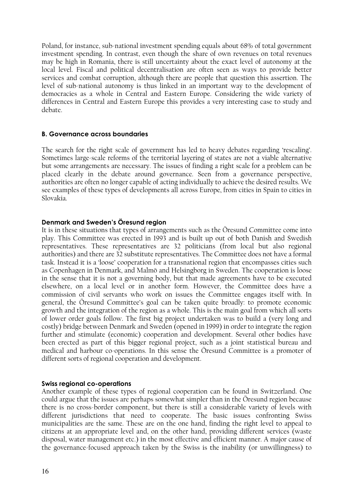Poland, for instance, sub-national investment spending equals about 68% of total government investment spending. In contrast, even though the share of own revenues on total revenues may be high in Romania, there is still uncertainty about the exact level of autonomy at the local level. Fiscal and political decentralisation are often seen as ways to provide better services and combat corruption, although there are people that question this assertion. The level of sub-national autonomy is thus linked in an important way to the development of democracies as a whole in Central and Eastern Europe. Considering the wide variety of differences in Central and Eastern Europe this provides a very interesting case to study and debate.

#### **B. Governance across boundaries**

The search for the right scale of government has led to heavy debates regarding 'rescaling'. Sometimes large-scale reforms of the territorial layering of states are not a viable alternative but some arrangements are necessary. The issues of finding a right scale for a problem can be placed clearly in the debate around governance. Seen from a governance perspective, authorities are often no longer capable of acting individually to achieve the desired results. We see examples of these types of developments all across Europe, from cities in Spain to cities in Slovakia

#### Denmark and Sweden's Öresund region

It is in these situations that types of arrangements such as the Öresund Committee come into play. This Committee was erected in 1993 and is built up out of both Danish and Swedish representatives. These representatives are 32 politicians (from local but also regional authorities) and there are 32 substitute representatives. The Committee does not have a formal task. Instead it is a 'loose' cooperation for a transnational region that encompasses cities such as Copenhagen in Denmark, and Malmo and Helsingborg in Sweden. The cooperation is loose in the sense that it is not a governing body, but that made agreements have to be executed elsewhere, on a local level or in another form. However, the Committee does have a commission of civil servants who work on issues the Committee engages itself with. In general, the Öresund Committee's goal can be taken quite broadly: to promote economic growth and the integration of the region as a whole. This is the main goal from which all sorts of lower order goals follow. The first big project undertaken was to build a (very long and costly) bridge between Denmark and Sweden (opened in 1999) in order to integrate the region further and stimulate (economic) cooperation and development. Several other bodies have been erected as part of this bigger regional project, such as a joint statistical bureau and medical and harbour co-operations. In this sense the Öresund Committee is a promoter of different sorts of regional cooperation and development.

#### **Swiss regional co-operations**

Another example of these types of regional cooperation can be found in Switzerland. One could argue that the issues are perhaps somewhat simpler than in the Öresund region because there is no cross-border component, but there is still a considerable variety of levels with different jurisdictions that need to cooperate. The basic issues confronting Swiss municipalities are the same. These are on the one hand, finding the right level to appeal to citizens at an appropriate level and, on the other hand, providing different services (waste disposal, water management etc.) in the most effective and efficient manner. A major cause of the governance-focused approach taken by the Swiss is the inability (or unwillingness) to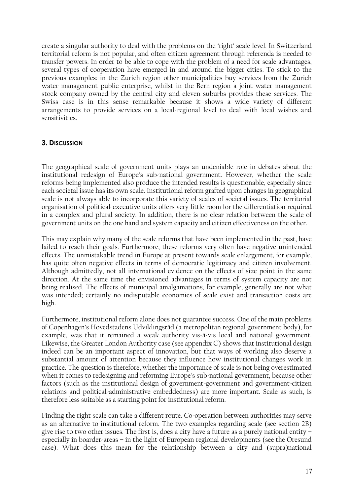create a singular authority to deal with the problems on the 'right' scale level. In Switzerland territorial reform is not popular, and often citizen agreement through referenda is needed to transfer powers. In order to be able to cope with the problem of a need for scale advantages, several types of cooperation have emerged in and around the bigger cities. To stick to the previous examples: in the Zurich region other municipalities buy services from the Zurich water management public enterprise, whilst in the Bern region a joint water management stock company owned by the central city and eleven suburbs provides these services. The Swiss case is in this sense remarkable because it shows a wide variety of different arrangements to provide services on a local-regional level to deal with local wishes and sensitivities.

### 3. DISCUSSION

The geographical scale of government units plays an undeniable role in debates about the institutional redesign of Europe's sub-national government. However, whether the scale reforms being implemented also produce the intended results is questionable, especially since each societal issue has its own scale. Institutional reform grafted upon changes in geographical scale is not always able to incorporate this variety of scales of societal issues. The territorial organisation of political-executive units offers very little room for the differentiation required in a complex and plural society. In addition, there is no clear relation between the scale of government units on the one hand and system capacity and citizen effectiveness on the other.

This may explain why many of the scale reforms that have been implemented in the past, have failed to reach their goals. Furthermore, these reforms very often have negative unintended effects. The unmistakable trend in Europe at present towards scale enlargement, for example, has quite often negative effects in terms of democratic legitimacy and citizen involvement. Although admittedly, not all international evidence on the effects of size point in the same direction. At the same time the envisioned advantages in terms of system capacity are not being realised. The effects of municipal amalgamations, for example, generally are not what was intended; certainly no indisputable economies of scale exist and transaction costs are high.

Furthermore, institutional reform alone does not guarantee success. One of the main problems of Copenhagen's Hovedstadens Udviklingsråd (a metropolitan regional government body), for example, was that it remained a weak authority vis-à-vis local and national government. Likewise, the Greater London Authority case (see appendix C) shows that institutional design indeed can be an important aspect of innovation, but that ways of working also deserve a substantial amount of attention because they influence how institutional changes work in practice. The question is therefore, whether the importance of scale is not being overestimated when it comes to redesigning and reforming Europe's sub-national government, because other factors (such as the institutional design of government-government and government-citizen relations and political-administrative embeddedness) are more important. Scale as such, is therefore less suitable as a starting point for institutional reform.

Finding the right scale can take a different route. Co-operation between authorities may serve as an alternative to institutional reform. The two examples regarding scale (see section 2B) give rise to two other issues. The first is, does a city have a future as a purely national entity  $$ especially in boarder-areas – in the light of European regional developments (see the Oresund case). What does this mean for the relationship between a city and (supra)national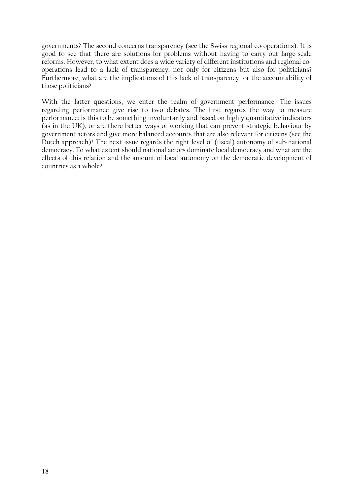governments? The second concerns transparency (see the Swiss regional co-operations). It is good to see that there are solutions for problems without having to carry out large-scale reforms. However, to what extent does a wide variety of different institutions and regional cooperations lead to a lack of transparency, not only for citizens but also for politicians? Furthermore, what are the implications of this lack of transparency for the accountability of those politicians?

With the latter questions, we enter the realm of government performance. The issues regarding performance give rise to two debates. The first regards the way to measure performance: is this to be something involuntarily and based on highly quantitative indicators  $\alpha$  (as in the UK), or are there better ways of working that can prevent strategic behaviour by government actors and give more balanced accounts that are also relevant for citizens (see the Dutch approach)? The next issue regards the right level of (fiscal) autonomy of sub-national democracy. To what extent should national actors dominate local democracy and what are the effects of this relation and the amount of local autonomy on the democratic development of countries as a whole?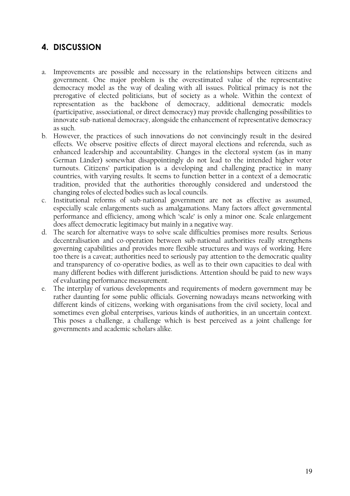# **4. DISCUSSION**

- Improvements are possible and necessary in the relationships between citizens and a. government. One major problem is the overestimated value of the representative democracy model as the way of dealing with all issues. Political primacy is not the prerogative of elected politicians, but of society as a whole. Within the context of representation as the backbone of democracy, additional democratic models (participative, associational, or direct democracy) may provide challenging possibilities to innovate sub-national democracy, alongside the enhancement of representative democracy as such.
- b. However, the practices of such innovations do not convincingly result in the desired effects. We observe positive effects of direct mayoral elections and referenda, such as enhanced leadership and accountability. Changes in the electoral system (as in many German Länder) somewhat disappointingly do not lead to the intended higher voter turnouts. Citizens' participation is a developing and challenging practice in many countries, with varying results. It seems to function better in a context of a democratic tradition, provided that the authorities thoroughly considered and understood the changing roles of elected bodies such as local councils.
- c. Institutional reforms of sub-national government are not as effective as assumed, especially scale enlargements such as amalgamations. Many factors affect governmental performance and efficiency, among which 'scale' is only a minor one. Scale enlargement does affect democratic legitimacy but mainly in a negative way.
- d. The search for alternative ways to solve scale difficulties promises more results. Serious decentralisation and co-operation between sub-national authorities really strengthens governing capabilities and provides more flexible structures and ways of working. Here too there is a caveat; authorities need to seriously pay attention to the democratic quality and transparency of co-operative bodies, as well as to their own capacities to deal with many different bodies with different jurisdictions. Attention should be paid to new ways of evaluating performance measurement.
- e. The interplay of various developments and requirements of modern government may be rather daunting for some public officials. Governing nowadays means networking with different kinds of citizens, working with organisations from the civil society, local and sometimes even global enterprises, various kinds of authorities, in an uncertain context. This poses a challenge, a challenge which is best perceived as a joint challenge for governments and academic scholars alike.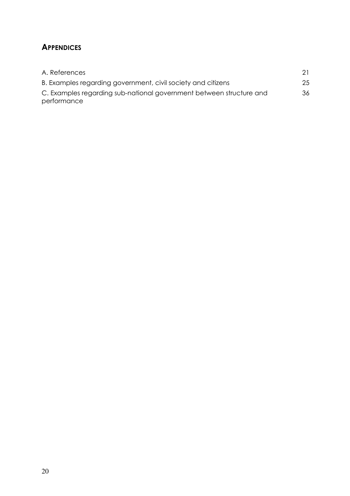# **APPENDICES**

| A. References                                                       |    |
|---------------------------------------------------------------------|----|
| B. Examples regarding government, civil society and citizens        | 25 |
| C. Examples regarding sub-national government between structure and | 36 |
| performance                                                         |    |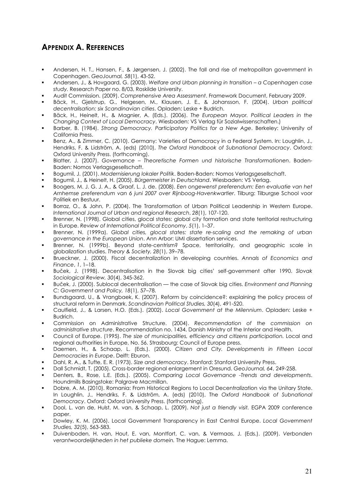# **APPENDIX A. REFERENCES**

- Andersen, H. T., Hansen, F., & Jørgensen, J. (2002). The fall and rise of metropolitan government in Copenhagen, Geo.Journal, 58(1), 43-52.
- Andersen, J., & Hovgaard, G. (2003). Welfare and Urban planning in transition a Copenhagen case study. Research Paper no. 8/03, Roskilde University.
- Audit Commission. (2009). Comprehensive Area Assessment. Framework Document, February 2009.
- Bäck, H., Gjelstrup, G., Helgesen, M., Klausen, J. E., & Johansson, F. (2004). Urban political decentralisation: six Scandinavian cities. Opladen: Leske + Budrich.
- Bäck, H., Heinelt, H., & Magnier, A. (Eds.). (2006). The European Mayor. Political Leaders in the Changing Context of Local Democracy. Wiesbaden: VS Verlag für Sozialwissenschaften.)
- Barber, B. (1984). Strong Democracy. Participatory Politics for a New Age. Berkeley: University of California Press.
- Benz, A., & Zimmer, C. (2010). Germany: Varieties of Democracy in a Federal System. In: Loughlin, J., Hendriks, F. & Lidström, A. (eds) (2010), The Oxford Handbook of Subnational Democracy. Oxford: Oxford University Press, (forthcomina),
- Blatter, J. (2007). Governance Theoretische Formen und historische Transformationen. Baden-Baden: Nomos Verlagsgesellschaft.
- Bogumil, J. (2001). Modernisierung lokaler Politik. Baden-Baden: Nomos Verlagsgesellschaft.
- Boqumil, J., & Heinelt, H. (2005). Bürgermeister in Deutschland. Wiesbaden: VS Verlag.
- Boogers, M. J. G. J. A., & Graaf, L. J. de. (2008). Een ongewenst preferendum: Een evaluatie van het Arnhemse preferendum van 6 juni 2007 over Rijnboog-Havenkwartier. Tilburg: Tilburgse School voor Politiek en Bestuur.
- Borraz, O., & John, P. (2004). The Transformation of Urban Political Leadership in Western Europe. International Journal of Urban and regional Research, 28(1), 107-120.
- Brenner, N. (1998). Global cities, glocal states: global city formation and state territorial restructuring in Europe. Review of International Political Economy, 5(1), 1-37.
- Brenner, N. (1999a). Global cities, glocal states: state re-scaling and the remaking of urban governance in the European Union. Ann Arbor: UMI dissertation services.
- Brenner, N. (1999b). Beyond state-centrism? Space, territoriality, and geographic scale in globalization studies. Theory & Society, 28(1), 39-78.
- Brueckner, J. (2000). Fiscal decentralization in developing countries. Annals of Economics and Finance, 1, 1-18.
- Buček, J. (1998). Decentralisation in the Slovak bia cities' self-aovernment after 1990. Slovak Sociological Review, 30(4), 345-362.
- Buček, J. (2000). Sublocal decentralisation the case of Slovak big cities. Environment and Planning C: Government and Policy, 18(1), 57-78.
- Bundsgaard, U., & Vrangbaek, K. (2007). Reform by coincidence?: explaining the policy process of structural reform in Denmark. Scandinavian Political Studies, 30(4), 491-520.
- Caulfield, J., & Larsen, H.O. (Eds.). (2002). Local Government at the Milennium. Opladen: Leske + **Budrich**
- Commission on Administrative Structure. (2004). Recommendation of the commission on administrative structure. Recommendation no. 1434, Danish Ministry of the Interior and Health.
- Council of Europe. (1995). The size of municipalities, efficiency and citizens participation. Local and regional authorities in Europe, No. 56. Strasbourg: Council of Europe press.
- Daemen, H., & Schaap, L. (Eds.). (2000). Citizen and City. Developments in Fifteen Local Democracies in Europe. Delft: Eburon.
- Dahl, R. A., & Tufte, E. R. (1973). Size and democracy. Stanford: Stanford University Press.
- Dall Schmidt, T. (2005). Cross-border regional enlargement in Oresund. GeoJournal, 64, 249-258.
- Denters, B., Rose, L.E. (Eds.). (2005). Comparing Local Governance -Trends and developments. Houndmills Basingstoke: Palgrave Macmillan.
- Dobre, A. M. (2010). Romania: From Historical Regions to Local Decentralization via the Unitary State. In Loughlin, J., Hendriks, F. & Lidström, A. (eds) (2010), The Oxford Handbook of Subnational Democracy. Oxford: Oxford University Press. (forthcoming).
- Dool, L. van de, Hulst, M. van, & Schaap, L. (2009). Not just a friendly visit. EGPA 2009 conference paper.
- Dowley, K. M. (2006). Local Government Transparency in East Central Europe. Local Government Studies, 32(5), 563-583.
- Duivenboden, H. van, Hout, E. van, Montfort, C. van, & Vermaas, J. (Eds.). (2009). Verbonden verantwoordelijkheden in het publieke domein. The Hague: Lemma.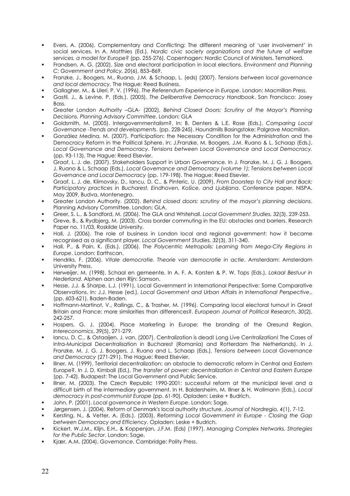- Evers, A. (2006). Complementary and Conflicting: The different meaning of 'user involvement' in social services. In A. Matthies (Ed.), Nordic civic society organizations and the future of welfare services, a model for Europe? (pp. 255-276). Copenhagen: Nordic Council of Ministers, TemaNord.
- Frandsen, A. G. (2002). Size and electoral participation in local elections. Environment and Planning C: Government and Policy, 2016), 853-869.
- Franzke, J., Boogers, M., Ruano, J.M. & Schaap, L. (eds) (2007). Tensions between local governance and local democracy, The Hague: Reed Business.
- Gallagher, M., & Uleri, P. V. (1996). The Referendum Experience in Europe. London: Macmillan Press.
- Gastil, J., & Levine, P. (Eds.). (2005). The Deliberative Democracy Handbook. San Francisco: Josey **Bass**
- Greater London Authority -GLA- (2002), Behind Closed Doors: Scrutiny of the Mayor's Planning Decisions. Planning Advisory Committee, London: GLA
- Goldsmith, M. (2005). Intergovernmentalism?. In: B. Denters & L.E. Rose (Eds.). Comparing Local Governance -Trends and developments. (pp. 228-245). Houndmills Basingstoke: Palgrave Macmillan.
- González Medina, M. (2007), Participation: the Necessary Condition for the Administration and the Democracy Reform in the Political Sphere. In: J.Franzke, M. Boogers, J.M. Ruano & L. Schaap (Eds.), Local Governance and Democracy. Tensions between Local Governance and Local Democracy. (pp. 93-113). The Hague: Reed Elsevier.
- Graaf, L. J. de. (2007). Stakeholders Support in Urban Governance. In J. Franzke, M. J. G. J. Boogers, J. Ruano & L. Schaap (Eds.), Local Governance and Democracy (volume 1); Tensions between Local Governance and Local Democracy (pp. 179-198). The Hague: Reed Elsevier.
- Graaf, L. J. de, Klimovsky, D., Iancu, D. C., & Pinteric, U. (2009). From Doorstep to City Hall and Back: Participatory practices in Bucharest, Eindhoven, Košice, and Ljubljana. Conference paper, NISPA, May 2009, Budva, Montenegro.
- Greater London Authority. (2002). Behind closed doors: scrutiny of the mayor's planning decisions. Planning Advisory Committee. London: GLA.
- Greer, S. L., & Sandford, M. (2006). The GLA and Whitehall. Local Government Studies, 32(3), 239-253.
- Greve, B., & Rydbjerg, M. (2003). Cross border commuting in the EU: obstacles and barriers. Research Paper no. 11/03, Roskilde University.
- Hall, J. (2006). The role of business in London local and regional government: how it became recognised as a significant player. Local Government Studies, 32(3), 311-340.
- Hall, P., & Pain, K. (Eds.). (2006). The Polycentric Metropolis: Learning from Mega-City Regions in Europe. London: Earthscan.
- Hendriks, F. (2006). Vitale democratie. Theorie van democratie in actie. Amsterdam: Amsterdam University Press.
- Herweijer, M. (1998). Schaal en gemeente. In A. F. A. Korsten & P. W. Tops (Eds.), Lokaal Bestuur in Nederland. Alphen aan den Rijn: Samson.
- Hesse, J.J. & Sharpe, L.J. (1991), Local Government in International Perspective: Some Comparative Observations. In: J.J. Hesse (ed.), Local Government and Urban Affairs in International Perspective,. (pp. 603-621). Baden-Baden.
- Hoffmann-Martinot, V., Rallings, C., & Trasher, M. (1996). Comparing local electoral turnout in Great Britain and France: more similarities than differences?. European Journal of Political Research, 30(2), 242-257.
- Hospers, G. J. (2004). Place Marketing in Europe: the branding of the Oresund Region. Intereconomics, 39(5), 271-279.
- lancu, D. C., & Ostaaijen, J. van. (2007). Centralization is dead! Long Live Centralization! The Cases of Intra-Municipal Decentralisation in Bucharest (Romania) and Rotterdam The Netherlands). In J. Franzke, M. J. G. J. Boogers, J. Ruano and L. Schaap (Eds.), Tensions between Local Governance and Democracy (271-291). The Hague: Reed Elsevier.
- Illner, M. (1999). Territorial decentralization: an obstacle to democratic reform in Central and Eastern Europe?. In J. D. Kimball (Ed.), The transfer of power: decentralization in Central and Eastern Europe (pp. 7-42). Budapest: The Local Government and Public Service.
- Illner, M. (2003). The Czech Republic 1990-2001: successful reform at the municipal level and a difficult birth of the intermediary government. In H. Baldersheim, M. Illner & H. Wollmann (Eds.), Local democracy in post-communist Europe (pp. 61-90). Opladen: Leske + Budrich.
- John, P. (2001). Local governance in Western Europe. London: Sage.
- Jørgensen, J. (2004). Reform of Denmark's local authority structure. Journal of Nordregio, 4(1), 7-12.
- Kersting, N., & Vetter, A. (Eds.). (2003). Reforming Local Government in Europe Closing the Gap between Democracy and Efficiency. Opladen: Leske + Budrich.
- Kickert, W.J.M., Klijn, E.H., & Koppenjan, J.F.M. (Eds) (1997). Managing Complex Networks. Strategies for the Public Sector. London: Sage.
- Kjær, A.M. (2004). Governance. Cambridge: Polity Press.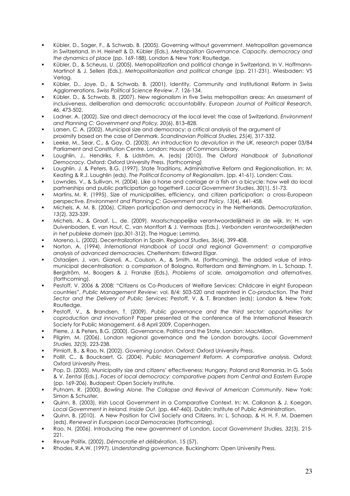- Kübler, D., Sager, F., & Schwab, B. (2005). Governing without government. Metropolitan governance in Switzerland. In H. Heinelt & D. Kübler (Eds.), Metropolitan Governance. Capacity, democracy and the dynamics of place (pp. 169-188). London & New York: Routledae.
- Kübler, D., & Scheuss, U. (2005). Metropolitization and political change in Switzerland. In V. Hoffmann-Martinot & J. Sellers (Eds.), Metropolitanization and political change (pp. 211-231), Wiesbaden: VS Verlag.
- Kübler, D., Joye, D., & Schwab, B. (2001). Identity, Community and Institutional Reform in Swiss Agglomerations. Swiss Political Science Review, 7, 126-134.
- Kübler, D., & Schwab, B. (2007). New regionalism in five Swiss metropolitan areas: An assessment of inclusiveness, deliberation and democratic accountability. European Journal of Political Research, 46, 473-502.
- Ladner, A. (2002). Size and direct democracy at the local level: the case of Switzerland. Environment and Planning C: Government and Policy, 20(6), 813-828.
- Larsen, C. A. (2002). Municipal size and democracy: a critical analysis of the argument of proximity based on the case of Denmark. Scandinavian Political Studies, 25(4), 317-332.
- Leeke, M., Sear, C., & Gay, O. (2003). An introduction to devolution in the UK, research paper 03/84 Parliament and Constitution Centre. London: House of Commons Library.
- Loughlin, J., Hendriks, F. & Lidström, A. (eds) (2010), The Oxford Handbook of Subnational Democracy, Oxford: Oxford University Press, (forthcomina)
- Loughlin, J. & Peters, B.G. (1997). State Traditions, Administrative Reform and Regionalisation. In: M. Keating & R.J. Loughlin (eds). The Political Economy of Regionalism. (pp. 41-61), Londen: Cass.
- Lowndes, V., & Sullivan, H. (2004). Like a horse and carriage or a fish on a bicycle: how well do local partnerships and public participation go together?. Local Government Studies, 30(1), 51-73.
- Martins, M. R. (1995). Size of municipalities, efficiency, and citizen participation: a cross-European perspective. Environment and Planning C: Government and Policy, 13(4), 441-458.
- Michels, A. M. B. (2006). Citizen participation and democracy in the Netherlands. Democratization, 13(2), 323-339.
- Michels, A., & Graaf, L., de. (2009). Maatschappelijke verantwoordelijkheid in de wijk. In: H. van Duivenboden, E. van Hout, C. van Montfort & J. Vermaas (Eds.), Verbonden verantwoordelijkheden in het publieke domein (pp.301-312). The Hague: Lemma.
- Moreno, L. (2002). Decentralization in Spain. Regional Studies, 36(4), 399-408.
- Norton, A. (1994). International Handbook of Local and regional Government: a comparative analysis of advanced democracies. Cheltenham: Edward Elgar.
- Ostaaijen, J. van, Gianoli, A., Coulson, A., & Smith, M. (forthcoming). The added value of intramunicipal decentralisation: a comparison of Bologna, Rotterdam and Birmingham. In L. Schaap, T. Bergström, M. Boogers & J. Franzke (Eds.), Problems of scale, amalgamation and alternatives. (forthcoming).
- Pestoff, V. 2006 & 2008; "Citizens as Co-Producers of Welfare Services: Childcare in eight European countries", Public Management Review; vol. 8/4: 503-520 and reprinted in Co-production. The Third Sector and the Delivery of Public Services; Pestoff, V. & T. Brandsen (eds); London & New York: Routledge.
- Pestoff, V., & Brandsen, T. (2009). Public governance and the third sector: opportunities for coproduction and innovation? Paper presented at the conference of the International Research Society for Public Management, 6-8 April 2009, Copenhagen.
- Pierre, J. & Peters, B.G. (2000). Governance, Politics and the State, London: MacMillan.
- Pilgrim, M. (2006). London regional governance and the London boroughs. Local Government Studies, 32(3), 223-238.
- Pimlott, B., & Rao, N. (2002). Governing London. Oxford: Oxford University Press.
- Pollit, C., & Bouckaert, G. (2004). Public Management Reform. A comparative analysis. Oxford: Oxford University Press.
- Pop, D. (2005). Municipality size and citizens' effectiveness: Hungary, Poland and Romania. In G. Soós & V. Zentai (Eds.), Faces of local democracy: comparative papers from Central and Eastern Europe (pp. 169-206). Budapest: Open Society Institute.
- Putnam, R. (2000). Bowling Alone. The Collapse and Revival of American Community. New York: Simon & Schuster.
- Quinn, B. (2003), Irish Local Government in a Comparative Context. In: M. Callanan & J. Koegan, Local Government in Ireland. Inside Out. (pp. 447-460). Dublin: Institute of Public Administration.
- Quinn, B. (2010). A New Position for Civil Society and Citizens. In: L. Schaap, & H. H. F. M. Daemen (eds). Renewal in European Local Democracies (forthcoming).
- Rao, N. (2006). Introducing the new government of London. Local Government Studies, 32(3), 215-221.
- Revue Politix, (2002), Démocratie et délibération, 15 (57).
- Rhodes, R.A.W. (1997). Understanding governance, Buckingham: Open University Press.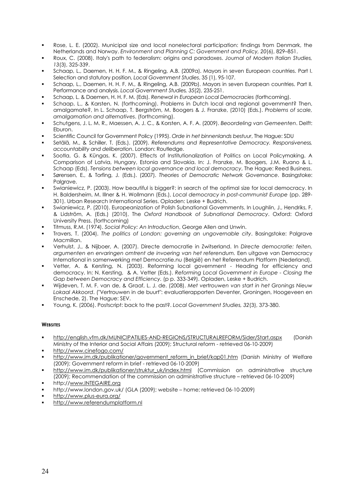- Rose, L. E. (2002). Municipal size and local nonelectoral participation: findings from Denmark, the Netherlands and Norway. Environment and Planning C: Government and Policy, 20(6), 829-851.
- Roux, C. (2008). Italy's path to federalism: origins and paradoxes. Journal of Modern Italian Studies, 13(3), 325-339.
- Schaap, L., Daemen, H. H. F. M., & Rinaelina, A.B. (2009a). Mayors in seven European countries. Part I. Selection and statutory position, Local Government Studies, 35 (1), 95-107.
- Schaap, L., Daemen, H. H. F. M., & Ringeling, A.B. (2009b). Mayors in seven European countries. Part II. Performance and analysis. Local Government Studies, 35(2), 235-251.
- Schaap, L. & Daemen, H. H. F. M. (Eds). Renewal in European Local Democracies (forthcoming).
- Schaap, L., & Karsten, N. (forthcoming). Problems in Dutch local and regional government? Then, amalgamate?, In L. Schaap, T. Bergström, M. Boogers & J. Franzke, (2010) (Eds.). Problems of scale, amalgamation and alternatives. (forthcoming).
- Schutgens, J. L. M. R., Maessen, A. J. C., & Korsten, A. F. A. (2009). Beoordeling van Gemeenten. Delft: Eburon.
- Scientific Council for Government Policy (1995). Orde in het binnenlands bestuur, The Hague: SDU
- Setälä, M., & Schiller, T. (Eds.). (2009). Referendums and Representative Democracy. Responsiveness, accountability and deliberation. London: Routledge.
- Sootla, G. & Küngas, K. (2007). Effects of Institutionalization of Politics on Local Policymaking. A Comparison of Latvia, Hungary, Estonia and Slovakia, In: J. Franzke, M. Boogers, J.M. Ruano & L. Schaap (Eds), Tensions between local governance and local democracy, The Haque: Reed Business,
- Sørensen, E., & Torfing, J. (Eds.). (2007). Theories of Democratic Network Governance. Basingstoke: Palgrave.
- Swianiewicz, P. (2003). How beautiful is bigger?: in search of the optimal size for local democracy. In H. Baldersheim, M. Illner & H. Wollmann (Eds.), Local democracy in post-communist Europe (pp. 289-301). Urban Research International Series. Opladen: Leske + Budrich.
- Swianiewicz, P. (2010). Europeanization of Polish Subnational Governments. In Loughlin, J., Hendriks, F. & Lidström, A. (Eds.) (2010), The Oxford Handbook of Subnational Democracy. Oxford: Oxford University Press. (forthcoming)
- Titmuss, R.M. (1974). Social Policy: An Introduction, George Allen and Unwin.
- Travers, T. (2004). The politics of London: governing an ungovernable city. Basingstoke: Palgrave Macmillan.
- Verhulst, J., & Nijboer, A. (2007). Directe democratie in Zwitserland. In Directe democratie: feiten, argumenten en ervaringen omtrent de invoering van het referendum. Een uitgave van Democracy International in samenwerking met Democratie.nu (België) en het Referendum Platform (Nederland).
- Vetter, A. & Kersting, N. (2003). Reforming local government Heading for efficiency and democracy. In: N. Kersting, & A. Vetter (Eds.). Reforming Local Government in Europe - Closing the Gap between Democracy and Efficiency. (p p. 333-349). Opladen, Leske + Budrich.
- Wijdeven, T. M. F. van de, & Graaf, L. J. de. (2008). Met vertrouwen van start in het Gronings Nieuw Lokaal Akkoord. ("Vertrouwen in de buurt": evaluatierapporten Deventer, Groningen, Hoogeveen en Enschede, 2). The Hague: SEV.
- Young, K. (2006). Postscript: back to the past?. Local Government Studies, 32(3), 373-380.

#### **WEBSITES**

- http://english.vfm.dk/MUNICIPATILIES-AND-REGIONS/STRUCTURALREFORM/Sider/Start.aspx (Danish Ministry of the Interior and Social Affairs (2009); Structural reform - retrieved 06-10-2009)
- http://www.cinefogo.com/
- http://www.im.dk/publikationer/government\_reform\_in\_brief/kap01.htm (Danish\_Ministry\_of\_Welfare (2009); Government reform in brief - retrieved 06-10-2009)
- http://www.im.dk/publikationer/struktur\_uk/index.html (Commission on administrative structure (2009); Recommendation of the commission on administrative structure - retrieved 06-10-2009)
- http://www.INTEGAIRE.org
- http://www.london.gov.uk/ (GLA (2009); website home; retrieved 06-10-2009)
- http://www.plus-eura.org/
- http://www.referendumplatform.nl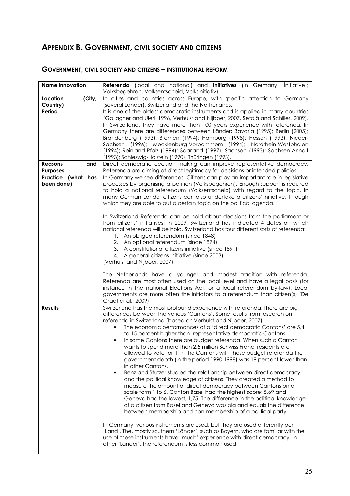# APPENDIX B. GOVERNMENT, CIVIL SOCIETY AND CITIZENS

| <b>Name innovation</b>                   | Referenda (local and national) and Initiatives (In Germany 'Initiative';<br>Volksbegehren, Volksentscheid, Volksinitiativ).                                                                                                                                                                                                                                                                                                                                                                                                                                                                                                                                                                                                                                                                                                                                                                                                                                                                                                                                                                                                                                                                                                                                                                                                                                                |
|------------------------------------------|----------------------------------------------------------------------------------------------------------------------------------------------------------------------------------------------------------------------------------------------------------------------------------------------------------------------------------------------------------------------------------------------------------------------------------------------------------------------------------------------------------------------------------------------------------------------------------------------------------------------------------------------------------------------------------------------------------------------------------------------------------------------------------------------------------------------------------------------------------------------------------------------------------------------------------------------------------------------------------------------------------------------------------------------------------------------------------------------------------------------------------------------------------------------------------------------------------------------------------------------------------------------------------------------------------------------------------------------------------------------------|
| Location<br>(City,<br>Country)           | In cities and countries across Europe, with specific attention to Germany<br>(several Länder), Switzerland and The Netherlands.                                                                                                                                                                                                                                                                                                                                                                                                                                                                                                                                                                                                                                                                                                                                                                                                                                                                                                                                                                                                                                                                                                                                                                                                                                            |
| Period                                   | It is one of the oldest democratic instruments and is applied in many countries<br>(Gallagher and Uleri, 1996, Verhulst and Nijboer, 2007, Setälä and Schiller, 2009).<br>In Switzerland, they have more than 100 years experience with referenda. In<br>Germany there are differences between Länder; Bavaria (1995); Berlin (2005);<br>Brandenburg (1993); Bremen (1994); Hamburg (1998); Hessen (1993); Nieder-<br>Sachsen (1996); Mecklenburg-Vorpommern (1994); Nordrhein-Westphalen<br>(1994); Reinland-Pfalz (1994); Saarland (1997); Sachsen (1993); Sachsen-Anhalt<br>(1993); Schleswig-Holstein (1990); Thüringen (1993).                                                                                                                                                                                                                                                                                                                                                                                                                                                                                                                                                                                                                                                                                                                                        |
| <b>Reasons</b><br>and<br><b>Purposes</b> | Direct democratic decision making can improve representative democracy.<br>Referenda are aiming at direct legitimacy for decisions or intended policies.                                                                                                                                                                                                                                                                                                                                                                                                                                                                                                                                                                                                                                                                                                                                                                                                                                                                                                                                                                                                                                                                                                                                                                                                                   |
| Practice (what has<br>been done)         | In Germany we see differences. Citizens can play an important role in legislative<br>processes by organising a petition (Volksbegehren). Enough support is required<br>to hold a national referendum (Volksentscheid) with regard to the topic. In<br>many German Länder citizens can also undertake a citizens' initiative, through<br>which they are able to put a certain topic on the political agenda.<br>In Switzerland Referenda can be hold about decisions from the parliament or<br>from citizens' initiatives. In 2009, Switzerland has indicated 4 dates on which<br>national referenda will be hold. Switzerland has four different sorts of referenda:<br>1. An obliged referendum (since 1848)<br>2. An optional referendum (since 1874)<br>3. A constitutional citizens initiative (since 1891)<br>4. A general citizens initiative (since 2003)<br>(Verhulst and Nijboer, 2007)                                                                                                                                                                                                                                                                                                                                                                                                                                                                           |
|                                          | The Netherlands have a younger and modest tradition with referenda.<br>Referenda are most often used on the local level and have a legal basis (for<br>instance in the national Elections Act, or a local referendum by-law). Local<br>governments are more often the initiators to a referendum than citizen(s) (De<br>Graaf et al., 2009).                                                                                                                                                                                                                                                                                                                                                                                                                                                                                                                                                                                                                                                                                                                                                                                                                                                                                                                                                                                                                               |
| <b>Results</b>                           | Switzerland has the most profound experience with referenda. There are big<br>differences between the various 'Cantons'. Some results from research on<br>referenda in Switzerland (based on Verhulst and Nijboer, 2007):<br>The economic performances of a 'direct democratic Cantons' are 5,4<br>to 15 percent higher than 'representative democratic Cantons'.<br>In some Cantons there are budget referenda. When such a Canton<br>$\bullet$<br>wants to spend more than 2.5 million Schwiss Franc, residents are<br>allowed to vote for it. In the Cantons with these budget referenda the<br>government depth (in the period 1990-1998) was 19 percent lower than<br>in other Cantons.<br>Benz and Stutzer studied the relationship between direct democracy<br>$\bullet$<br>and the political knowledge of citizens. They created a method to<br>measure the amount of direct democracy between Cantons on a<br>scale form 1 to 6. Canton Basel had the highest score; 5,69 and<br>Geneva had the lowest; 1,75. The difference in the political knowledge<br>of a citizen from Basel and Geneva was big and equals the difference<br>between membership and non-membership of a political party.<br>In Germany, various instruments are used, but they are used differently per<br>'Land'. The, mostly southern 'Länder', such as Bayern, who are familiar with the |
|                                          | use of these instruments have 'much' experience with direct democracy. In<br>other 'Länder', the referendum is less common used.                                                                                                                                                                                                                                                                                                                                                                                                                                                                                                                                                                                                                                                                                                                                                                                                                                                                                                                                                                                                                                                                                                                                                                                                                                           |

### **GOVERNMENT, CIVIL SOCIETY AND CITIZENS - INSTITUTIONAL REFORM**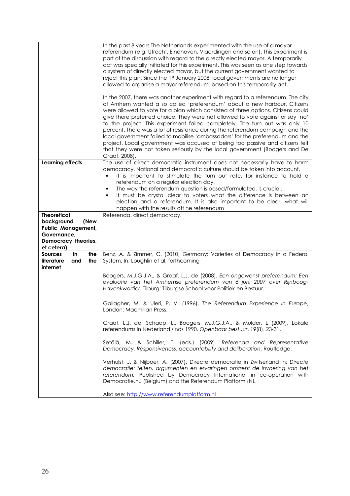|                                           | In the past 8 years The Netherlands experimented with the use of a mayor                                                                                              |
|-------------------------------------------|-----------------------------------------------------------------------------------------------------------------------------------------------------------------------|
|                                           | referendum (e.g. Utrecht, Eindhoven, Vlaardingen and so on). This experiment is                                                                                       |
|                                           | part of the discussion with regard to the directly elected mayor. A temporarily<br>act was specially initiated for this experiment. This was seen as one step towards |
|                                           | a system of directly elected mayor, but the current government wanted to                                                                                              |
|                                           | reject this plan. Since the 1st January 2008, local governments are no longer                                                                                         |
|                                           | allowed to organise a mayor referendum, based on this temporarily act.                                                                                                |
|                                           | In the 2007, there was another experiment with regard to a referendum. The city                                                                                       |
|                                           | of Arnhem wanted a so called 'preferendum' about a new harbour. Citizens                                                                                              |
|                                           | were allowed to vote for a plan which consisted of three options. Citizens could<br>give there preferred choice. They were not allowed to vote against or say 'no'    |
|                                           | to the project. This experiment failed completely. The turn out was only 10                                                                                           |
|                                           | percent. There was a lot of resistance during the referendum campaign and the                                                                                         |
|                                           | local government failed to mobilise 'ambassadors' for the preferendum and the                                                                                         |
|                                           | project. Local government was accused of being too passive and citizens felt                                                                                          |
|                                           | that they were not taken seriously by the local government (Boogers and De<br>Graaf, 2008).                                                                           |
| <b>Learning effects</b>                   | The use of direct democratic instrument does not necessarily have to harm                                                                                             |
|                                           | democracy. National and democratic culture should be taken into account.                                                                                              |
|                                           | It is important to stimulate the turn out rate, for instance to hold a<br>referendum on a regular election day.                                                       |
|                                           | The way the referendum question is posed/formulated, is crucial.<br>$\bullet$                                                                                         |
|                                           | It must be crystal clear to voters what the difference is between an<br>$\bullet$                                                                                     |
|                                           | election and a referendum. It is also important to be clear, what will                                                                                                |
| <b>Theoretical</b>                        | happen with the results oft he referendum<br>Referenda, direct democracy.                                                                                             |
| background<br>(New                        |                                                                                                                                                                       |
| Public Management,                        |                                                                                                                                                                       |
| Governance,                               |                                                                                                                                                                       |
|                                           |                                                                                                                                                                       |
| Democracy theories,                       |                                                                                                                                                                       |
| et cetera)<br>in<br><b>Sources</b><br>the | Benz, A. & Zimmer, C. (2010) Germany: Varieties of Democracy in a Federal                                                                                             |
| literature<br>and<br>the                  | System. In: Loughlin et al, forthcoming                                                                                                                               |
| internet                                  |                                                                                                                                                                       |
|                                           | Boogers, M.J.G.J.A., & Graaf, L.J. de (2008). Een ongewenst preferendum: Een                                                                                          |
|                                           | evaluatie van het Arnhemse preferendum van 6 juni 2007 over Rijnboog-<br>Havenkwartier. Tilburg: Tilburgse School voor Politiek en Bestuur.                           |
|                                           |                                                                                                                                                                       |
|                                           | Gallagher, M. & Uleri, P. V. (1996). The Referendum Experience in Europe,                                                                                             |
|                                           | London: Macmillan Press.                                                                                                                                              |
|                                           | Graaf, L.J. de, Schaap, L., Boogers, M.J.G.J.A., & Mulder, L (2009). Lokale                                                                                           |
|                                           | referendums in Nederland sinds 1990. Openbaar bestuur, 19(8), 23-31.                                                                                                  |
|                                           | Setälä, M. & Schiller, T. (eds.) (2009). Referenda and Representative                                                                                                 |
|                                           | Democracy. Responsiveness, accountability and deliberation, Routledge.                                                                                                |
|                                           | Verhulst, J. & Nijboer, A. (2007). Directe democratie in Zwitserland In: Directe                                                                                      |
|                                           | democratie: feiten, argumenten en ervaringen omtrent de invoering van het                                                                                             |
|                                           | referendum. Published by Democracy International in co-operation with                                                                                                 |
|                                           | Democratie.nu (Belgium) and the Referendum Platform (NL.                                                                                                              |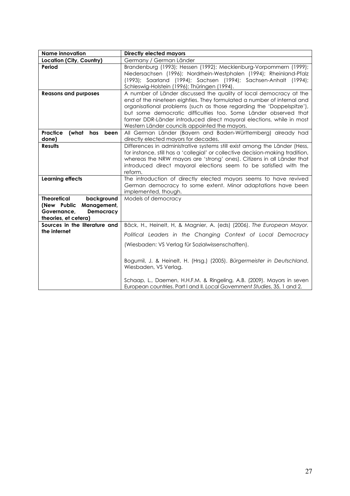| <b>Name innovation</b>                                                                                             | <b>Directly elected mayors</b>                                                                                                                                                                                                                                                                                                                                                                                    |
|--------------------------------------------------------------------------------------------------------------------|-------------------------------------------------------------------------------------------------------------------------------------------------------------------------------------------------------------------------------------------------------------------------------------------------------------------------------------------------------------------------------------------------------------------|
| Location (City, Country)                                                                                           | Germany / German Länder                                                                                                                                                                                                                                                                                                                                                                                           |
| Period                                                                                                             | Brandenburg (1993); Hessen (1992); Mecklenburg-Vorpommern (1999);<br>Niedersachsen (1996); Nordrhein-Westphalen (1994); Rheinland-Pfalz<br>(1993); Saarland (1994); Sachsen (1994); Sachsen-Anhalt (1994);<br>Schleswig-Holstein (1996); Thüringen (1994).                                                                                                                                                        |
| <b>Reasons and purposes</b>                                                                                        | A number of Länder discussed the quality of local democracy at the<br>end of the nineteen eighties. They formulated a number of internal and<br>organisational problems (such as those regarding the 'Doppelspitze'),<br>but some democratic difficulties too. Some Länder observed that<br>former DDR-Länder introduced direct mayoral elections, while in most<br>Western Länder councils appointed the mayors. |
| Practice<br>(what has<br>been<br>done)                                                                             | All German Länder (Bayern and Baden-Württemberg) already had<br>directly elected mayors for decades.                                                                                                                                                                                                                                                                                                              |
| <b>Results</b>                                                                                                     | Differences in administrative systems still exist among the Länder (Hess,<br>for instance, still has a 'collegial' or collective decision-making tradition,<br>whereas the NRW mayors are 'strong' ones). Citizens in all Länder that<br>introduced direct mayoral elections seem to be satisfied with the<br>reform.                                                                                             |
| <b>Learning effects</b>                                                                                            | The introduction of directly elected mayors seems to have revived<br>German democracy to some extent. Minor adaptations have been<br>implemented, though.                                                                                                                                                                                                                                                         |
| <b>Theoretical</b><br>background<br>Management,<br>(New Public<br>Governance,<br>Democracy<br>theories, et cetera) | Models of democracy                                                                                                                                                                                                                                                                                                                                                                                               |
| Sources in the literature and<br>the internet                                                                      | Bäck, H., Heinelt, H, & Magnier, A. (eds) (2006). The European Mayor.                                                                                                                                                                                                                                                                                                                                             |
|                                                                                                                    | Political Leaders in the Changing Context of Local Democracy                                                                                                                                                                                                                                                                                                                                                      |
|                                                                                                                    | (Wiesbaden: VS Verlag für Sozialwissenschaften).                                                                                                                                                                                                                                                                                                                                                                  |
|                                                                                                                    | Bogumil, J. & Heinelt, H. (Hrsg.) (2005). Bürgermeister in Deutschland,<br>Wiesbaden, VS Verlag.                                                                                                                                                                                                                                                                                                                  |
|                                                                                                                    | Schaap, L., Daemen, H.H.F.M. & Ringeling, A.B. (2009). Mayors in seven<br>European countries. Part I and II. Local Government Studies, 35, 1 and 2.                                                                                                                                                                                                                                                               |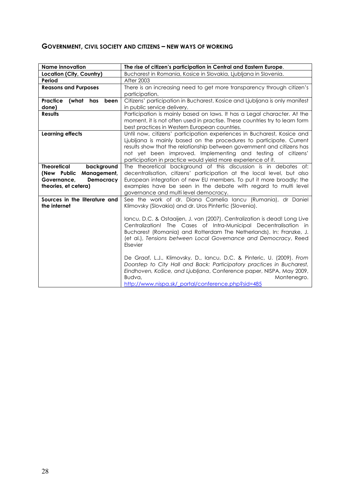### **GOVERNMENT, CIVIL SOCIETY AND CITIZENS - NEW WAYS OF WORKING**

| <b>Name innovation</b>                                                                                             | The rise of citizen's participation in Central and Eastern Europe.                                                                                                                                                                                                                                                                                                                                                                                                                                                                                                                                                                                                                                                                       |
|--------------------------------------------------------------------------------------------------------------------|------------------------------------------------------------------------------------------------------------------------------------------------------------------------------------------------------------------------------------------------------------------------------------------------------------------------------------------------------------------------------------------------------------------------------------------------------------------------------------------------------------------------------------------------------------------------------------------------------------------------------------------------------------------------------------------------------------------------------------------|
| Location (City, Country)                                                                                           | Bucharest in Romania, Kosice in Slovakia, Ljubljana in Slovenia.                                                                                                                                                                                                                                                                                                                                                                                                                                                                                                                                                                                                                                                                         |
| Period                                                                                                             | <b>After 2003</b>                                                                                                                                                                                                                                                                                                                                                                                                                                                                                                                                                                                                                                                                                                                        |
| <b>Reasons and Purposes</b>                                                                                        | There is an increasing need to get more transparency through citizen's<br>participation.                                                                                                                                                                                                                                                                                                                                                                                                                                                                                                                                                                                                                                                 |
| <b>Practice</b><br>(what<br>has<br>been<br>done)                                                                   | Citizens' participation in Bucharest, Kosice and Ljubljana is only manifest<br>in public service delivery.                                                                                                                                                                                                                                                                                                                                                                                                                                                                                                                                                                                                                               |
| <b>Results</b>                                                                                                     | Participation is mainly based on laws. It has a Legal character. At the<br>moment, it is not often used in practise. These countries try to learn form<br>best practices in Western European countries.                                                                                                                                                                                                                                                                                                                                                                                                                                                                                                                                  |
| <b>Learning effects</b>                                                                                            | Until now, citizens' participation experiences in Bucharest, Kosice and<br>Ljubljana is mainly based on the procedures to participate. Current<br>results show that the relationship between government and citizens has<br>not yet been improved. Implementing and testing of citizens'<br>participation in practice would yield more experience of it.                                                                                                                                                                                                                                                                                                                                                                                 |
| <b>Theoretical</b><br>background<br>Management,<br>(New Public<br>Governance,<br>Democracy<br>theories, et cetera) | The theoretical background of this discussion is in debates of:<br>decentralisation, citizens' participation at the local level, but also<br>European integration of new EU members. To put it more broadly; the<br>examples have be seen in the debate with regard to multi level<br>governance and multi level democracy.                                                                                                                                                                                                                                                                                                                                                                                                              |
| Sources in the literature and<br>the internet                                                                      | See the work of dr. Diana Camelia lancu (Rumania), dr Daniel<br>Klimovsky (Slovakia) and dr. Uros Pintertic (Slovenia).<br>Iancu, D.C. & Ostaaijen, J. van (2007). Centralization is dead! Long Live<br>Centralization! The Cases of Intra-Municipal Decentralisation in<br>Bucharest (Romania) and Rotterdam The Netherlands). In: Franzke, J.<br>(et al.), Tensions between Local Governance and Democracy, Reed<br>Elsevier<br>De Graaf, L.J., Klimovsky, D., Iancu, D.C. & Pinteric, U. (2009). From<br>Doorstep to City Hall and Back: Participatory practices in Bucharest,<br>Eindhoven, Košice, and Ljubljana, Conference paper, NISPA, May 2009,<br>Budva,<br>Montenegro.<br>http://www.nispa.sk/ portal/conference.php?sid=485 |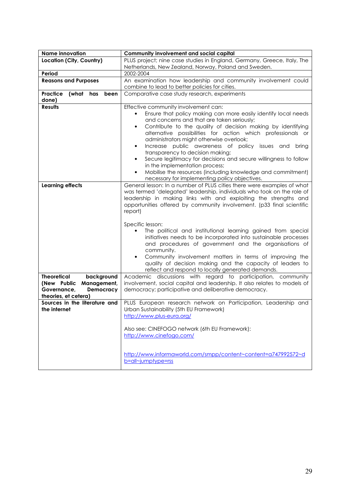| <b>Name innovation</b>                                                                                             | Community involvement and social capital                                                                                                                                                                                                                                                                                                                                                                                                                                                                                                                                                                                                                                                                                                     |
|--------------------------------------------------------------------------------------------------------------------|----------------------------------------------------------------------------------------------------------------------------------------------------------------------------------------------------------------------------------------------------------------------------------------------------------------------------------------------------------------------------------------------------------------------------------------------------------------------------------------------------------------------------------------------------------------------------------------------------------------------------------------------------------------------------------------------------------------------------------------------|
| Location (City, Country)                                                                                           | PLUS project; nine case studies in England, Germany, Greece, Italy, The                                                                                                                                                                                                                                                                                                                                                                                                                                                                                                                                                                                                                                                                      |
|                                                                                                                    | Netherlands, New Zealand, Norway, Poland and Sweden.                                                                                                                                                                                                                                                                                                                                                                                                                                                                                                                                                                                                                                                                                         |
| Period                                                                                                             | 2002-2004                                                                                                                                                                                                                                                                                                                                                                                                                                                                                                                                                                                                                                                                                                                                    |
| <b>Reasons and Purposes</b>                                                                                        | An examination how leadership and community involvement could<br>combine to lead to better policies for cities.                                                                                                                                                                                                                                                                                                                                                                                                                                                                                                                                                                                                                              |
| Practice<br>(what<br>has<br>been<br>done)                                                                          | Comparative case study research, experiments                                                                                                                                                                                                                                                                                                                                                                                                                                                                                                                                                                                                                                                                                                 |
| <b>Results</b><br><b>Learning effects</b>                                                                          | Effective community involvement can:<br>Ensure that policy making can more easily identify local needs<br>and concerns and that are taken seriously;<br>Contribute to the quality of decision making by identifying<br>٠<br>alternative possibilities for action which professionals or<br>administrators might otherwise overlook;<br>Increase public awareness of policy issues and bring<br>transparency to decision making;<br>Secure legitimacy for decisions and secure willingness to follow<br>in the implementation process;<br>Mobilise the resources (including knowledge and commitment)<br>$\bullet$<br>necessary for implementing policy objectives.<br>General lesson: In a number of PLUS cities there were examples of what |
|                                                                                                                    | was termed 'delegated' leadership, individuals who took on the role of<br>leadership in making links with and exploiting the strengths and<br>opportunities offered by community involvement. (p33 final scientific<br>report)<br>Specific lesson:<br>The political and institutional learning gained from special<br>initiatives needs to be incorporated into sustainable processes<br>and procedures of government and the organisations of<br>community.<br>Community involvement matters in terms of improving the<br>quality of decision making and the capacity of leaders to<br>reflect and respond to locally generated demands.                                                                                                    |
| <b>Theoretical</b><br>background<br>Management,<br>(New Public<br>Governance,<br>Democracy<br>theories, et cetera) | Academic discussions with regard to participation, community<br>involvement, social capital and leadership. It also relates to models of<br>democracy; participative and deliberative democracy.                                                                                                                                                                                                                                                                                                                                                                                                                                                                                                                                             |
| Sources in the literature and<br>the internet                                                                      | PLUS European research network on Participation, Leadership and<br>Urban Sustainability (5th EU Framework)<br>http://www.plus-eura.org/<br>Also see: CINEFOGO network (6th EU Framework):<br>http://www.cinefogo.com/                                                                                                                                                                                                                                                                                                                                                                                                                                                                                                                        |
|                                                                                                                    | http://www.informaworld.com/smpp/content~content=a747992572~d<br>b=all~jumptype=rss                                                                                                                                                                                                                                                                                                                                                                                                                                                                                                                                                                                                                                                          |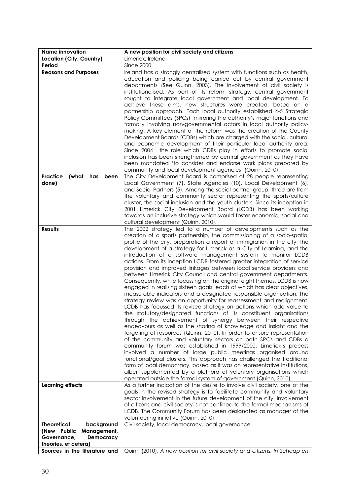| <b>Name innovation</b>           | A new position for civil society and citizens                                                                                     |
|----------------------------------|-----------------------------------------------------------------------------------------------------------------------------------|
| Location (City, Country)         | Limerick, Ireland                                                                                                                 |
| Period                           | Since 2000                                                                                                                        |
| <b>Reasons and Purposes</b>      | Ireland has a strongly centralised system with functions such as health,                                                          |
|                                  | education and policing being carried out by central government                                                                    |
|                                  | departments (See Quinn, 2003). The involvement of civil society is                                                                |
|                                  | institutionalised. As part of its reform strategy, central government                                                             |
|                                  | sought to integrate local government and local development. To<br>achieve these aims, new structures were created, based on a     |
|                                  | partnership approach. Each local authority established 4-5 Strategic                                                              |
|                                  | Policy Committees (SPCs), mirroring the authority's major functions and                                                           |
|                                  | formally involving non-governmental actors in local authority policy-                                                             |
|                                  | making. A key element of the reform was the creation of the County                                                                |
|                                  | Development Boards (CDBs) which are charged with the social, cultural                                                             |
|                                  | and economic development of their particular local authority area.                                                                |
|                                  | Since 2004 the role which CDBs play in efforts to promote social                                                                  |
|                                  | inclusion has been strengthened by central government as they have                                                                |
|                                  | been mandated 'to consider and endorse work plans prepared by                                                                     |
|                                  | community and local development agencies' (Quinn, 2010).                                                                          |
| Practice<br>(what<br>has<br>been | The City Development Board is comprised of 28 people representing                                                                 |
| done)                            | Local Government (7), State Agencies (10), Local Development (6),                                                                 |
|                                  | and Social Partners (5). Among the social partner group, three are from                                                           |
|                                  | the voluntary and community sector representing the sports/culture                                                                |
|                                  | cluster, the social inclusion and the youth clusters. Since its inception in                                                      |
|                                  | 2001 Limerick City Development Board (LCDB) has been working                                                                      |
|                                  | towards an inclusive strategy which would foster economic, social and                                                             |
| <b>Results</b>                   | cultural development (Quinn, 2010).<br>The 2002 strategy led to a number of developments such as the                              |
|                                  | creation of a sports partnership, the commissioning of a socio-spatial                                                            |
|                                  | profile of the city, preparation a report of immigration in the city, the                                                         |
|                                  | development of a strategy for Limerick as a City of Learning, and the                                                             |
|                                  | introduction of a software management system to monitor LCDB                                                                      |
|                                  | actions. From its inception LCDB fostered greater integration of service                                                          |
|                                  | provision and improved linkages between local service providers and                                                               |
|                                  | between Limerick City Council and central government departments.                                                                 |
|                                  | Consequently, while focussing on the original eight themes, LCDB is now                                                           |
|                                  | engaged in realising sixteen goals, each of which has clear objectives,                                                           |
|                                  | measurable indicators and a designated responsible organisation. The                                                              |
|                                  | strategy review was an opportunity for reassessment and realignment.                                                              |
|                                  | LCDB has focussed its revised strategy on actions which add value to                                                              |
|                                  | the statutory/designated functions of its constituent organisations                                                               |
|                                  | through the achievement of synergy between their respective<br>endeavours as well as the sharing of knowledge and insight and the |
|                                  | targeting of resources (Quinn, 2010). In order to ensure representation                                                           |
|                                  | of the community and voluntary sectors on both SPCs and CDBs a                                                                    |
|                                  | community forum was established in 1999/2000. Limerick's process                                                                  |
|                                  | involved a number of large public meetings organised around                                                                       |
|                                  | functional/goal clusters. This approach has challenged the traditional                                                            |
|                                  | form of local democracy, based as it was on representative institutions,                                                          |
|                                  | albeit supplemented by a plethora of voluntary organisations which                                                                |
|                                  | operated outside the formal system of government (Quinn, 2010).                                                                   |
| <b>Learning effects</b>          | As a further indication of the desire to involve civil society, one of the                                                        |
|                                  | goals in the revised strategy is to facilitate community and voluntary                                                            |
|                                  | sector involvement in the future development of the city. Involvement                                                             |
|                                  | of citizens and civil society is not confined to the formal mechanisms of                                                         |
|                                  | LCDB. The Community Forum has been designated as manager of the<br>volunteering initiative (Quinn, 2010).                         |
| <b>Theoretical</b><br>background | Civil society, local democracy, local governance                                                                                  |
| (New Public<br>Management,       |                                                                                                                                   |
| Governance,<br>Democracy         |                                                                                                                                   |
| theories, et cetera)             |                                                                                                                                   |
| Sources in the literature and    | Quinn (2010), A new position for civil society and citizens. In Schaap en                                                         |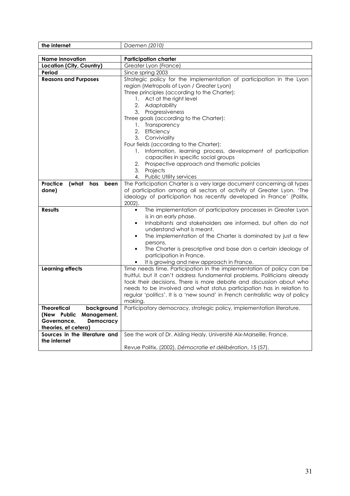| the internet                                          | Daemen (2010)                                                                |
|-------------------------------------------------------|------------------------------------------------------------------------------|
|                                                       |                                                                              |
| <b>Name innovation</b>                                | <b>Participation charter</b>                                                 |
| Location (City, Country)                              | Greater Lyon (France)                                                        |
| Period                                                | Since spring 2003                                                            |
| <b>Reasons and Purposes</b>                           | Strategic policy for the implementation of participation in the Lyon         |
|                                                       | region (Metropolis of Lyon / Greater Lyon)                                   |
|                                                       | Three principles (according to the Charter):                                 |
|                                                       | 1. Act at the right level                                                    |
|                                                       | 2. Adaptability                                                              |
|                                                       | 3. Progressiveness                                                           |
|                                                       | Three goals (according to the Charter):                                      |
|                                                       | 1. Transparency                                                              |
|                                                       | 2. Efficiency                                                                |
|                                                       | 3. Conviviality                                                              |
|                                                       | Four fields (according to the Charter):                                      |
|                                                       | 1. Information, learning process, development of participation               |
|                                                       | capacities in specific social groups                                         |
|                                                       | 2. Prospective approach and thematic policies                                |
|                                                       | 3. Projects                                                                  |
|                                                       | 4. Public Utility services                                                   |
| <b>Practice</b><br>(what has<br>been                  | The Participation Charter is a very large document concerning all types      |
| done)                                                 | of participation among all sectors of activity of Greater Lyon. 'The         |
|                                                       | ideology of participation has recently developed in France' (Politix,        |
|                                                       | $2002$ ).                                                                    |
| <b>Results</b>                                        | The implementation of participatory processes in Greater Lyon<br>$\bullet$   |
|                                                       | is in an early phase.                                                        |
|                                                       | Inhabitants and stakeholders are informed, but often do not                  |
|                                                       | understand what is meant.                                                    |
|                                                       | The implementation of the Charter is dominated by just a few                 |
|                                                       | persons.                                                                     |
|                                                       | The Charter is prescriptive and base don a certain ideology of<br>$\bullet$  |
|                                                       | participation in France.                                                     |
|                                                       | It is growing and new approach in France.                                    |
| <b>Learning effects</b>                               | Time needs time. Participation in the implementation of policy can be        |
|                                                       | fruitful, but it can't address fundamental problems. Politicians already     |
|                                                       | took their decisions. There is more debate and discussion about who          |
|                                                       | needs to be involved and what status participation has in relation to        |
|                                                       | regular 'politics'. It is a 'new sound' in French centralistic way of policy |
|                                                       | making.                                                                      |
| <b>Theoretical</b><br>background                      | Participatory democracy, strategic policy, implementation literature.        |
| (New Public Management,                               |                                                                              |
| Democracy<br>Governance.                              |                                                                              |
| theories, et cetera)<br>Sources in the literature and | See the work of Dr. Aisling Healy, Université Aix-Marseille, France.         |
| the internet                                          |                                                                              |
|                                                       | Revue Politix, (2002), Démocratie et délibération, 15 (57).                  |
|                                                       |                                                                              |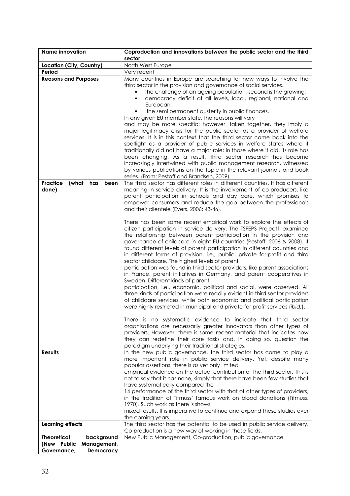| <b>Name innovation</b>                        | Coproduction and innovations between the public sector and the third<br>sector                                                                                                                                                                                                                                                                                                                                                                                                                                                                                                                                                                                                                                                                                                                                                                                                                                                                                                                                                                                                                                                                                                                                                                                                                                                                                                                                                                                                                                                                                                                 |
|-----------------------------------------------|------------------------------------------------------------------------------------------------------------------------------------------------------------------------------------------------------------------------------------------------------------------------------------------------------------------------------------------------------------------------------------------------------------------------------------------------------------------------------------------------------------------------------------------------------------------------------------------------------------------------------------------------------------------------------------------------------------------------------------------------------------------------------------------------------------------------------------------------------------------------------------------------------------------------------------------------------------------------------------------------------------------------------------------------------------------------------------------------------------------------------------------------------------------------------------------------------------------------------------------------------------------------------------------------------------------------------------------------------------------------------------------------------------------------------------------------------------------------------------------------------------------------------------------------------------------------------------------------|
| Location (City, Country)                      | North West Europe                                                                                                                                                                                                                                                                                                                                                                                                                                                                                                                                                                                                                                                                                                                                                                                                                                                                                                                                                                                                                                                                                                                                                                                                                                                                                                                                                                                                                                                                                                                                                                              |
| Period                                        | Very recent                                                                                                                                                                                                                                                                                                                                                                                                                                                                                                                                                                                                                                                                                                                                                                                                                                                                                                                                                                                                                                                                                                                                                                                                                                                                                                                                                                                                                                                                                                                                                                                    |
| <b>Reasons and Purposes</b>                   | Many countries in Europe are searching for new ways to involve the<br>third sector in the provision and governance of social services.<br>the challenge of an ageing population, second is the growing;<br>democracy deficit at all levels, local, regional, national and<br>European,<br>the semi permanent austerity in public finances.<br>In any given EU member state, the reasons will vary<br>and may be more specific; however, taken together, they imply a<br>major legitimacy crisis for the public sector as a provider of welfare<br>services. It is in this context that the third sector came back into the<br>spotlight as a provider of public services in welfare states where it                                                                                                                                                                                                                                                                                                                                                                                                                                                                                                                                                                                                                                                                                                                                                                                                                                                                                            |
|                                               | traditionally did not have a major role; in those where it did, its role has<br>been changing. As a result, third sector research has become<br>increasingly intertwined with public management research, witnessed<br>by various publications on the topic in the relevant journals and book<br>series. (From: Pestoff and Brandsen, 2009)                                                                                                                                                                                                                                                                                                                                                                                                                                                                                                                                                                                                                                                                                                                                                                                                                                                                                                                                                                                                                                                                                                                                                                                                                                                    |
| Practice<br>(what has<br>been<br>done)        | The third sector has different roles in different countries. It has different<br>meaning in service delivery. It is the involvement of co-producers, like<br>parent participation in schools and day care, which promises to<br>empower consumers and reduce the gap between the professionals<br>and their clientele (Evers, 2006; 43-46).<br>There has been some recent empirical work to explore the effects of<br>citizen participation in service delivery. The TSFEPS Project1 examined<br>the relationship between parent participation in the provision and<br>governance of childcare in eight EU countries (Pestoff, 2006 & 2008). It<br>found different levels of parent participation in different countries and<br>in different forms of provision, i.e., public, private for-profit and third<br>sector childcare. The highest levels of parent<br>participation was found in third sector providers, like parent associations<br>in France, parent initiatives in Germany, and parent cooperatives in<br>Sweden. Different kinds of parent<br>participation, i.e., economic, political and social, were observed. All<br>three kinds of participation were readily evident in third sector providers<br>of childcare services, while both economic and political participation<br>were highly restricted in municipal and private for-profit services (ibid.).<br>There is no systematic evidence to indicate that third sector<br>organisations are necessarily greater innovators than other types of<br>providers. However, there is some recent material that indicates how |
| <b>Results</b>                                | they can redefine their core tasks and, in doing so, question the<br>paradigm underlying their traditional strategies.<br>In the new public governance, the third sector has come to play a                                                                                                                                                                                                                                                                                                                                                                                                                                                                                                                                                                                                                                                                                                                                                                                                                                                                                                                                                                                                                                                                                                                                                                                                                                                                                                                                                                                                    |
|                                               | more important role in public service delivery. Yet, despite many<br>popular assertions, there is as yet only limited<br>empirical evidence on the actual contribution of the third sector. This is<br>not to say that it has none, simply that there have been few studies that<br>have systematically compared the<br>14 performance of the third sector with that of other types of providers,<br>in the tradition of Titmuss' famous work on blood donations (Titmuss,<br>1970). Such work as there is shows<br>mixed results. It is imperative to continue and expand these studies over<br>the coming years.                                                                                                                                                                                                                                                                                                                                                                                                                                                                                                                                                                                                                                                                                                                                                                                                                                                                                                                                                                             |
| <b>Learning effects</b><br><b>Theoretical</b> | The third sector has the potential to be used in public service delivery.<br>Co-production is a new way of working in these fields.<br>New Public Management, Co-production, public governance                                                                                                                                                                                                                                                                                                                                                                                                                                                                                                                                                                                                                                                                                                                                                                                                                                                                                                                                                                                                                                                                                                                                                                                                                                                                                                                                                                                                 |
| background                                    |                                                                                                                                                                                                                                                                                                                                                                                                                                                                                                                                                                                                                                                                                                                                                                                                                                                                                                                                                                                                                                                                                                                                                                                                                                                                                                                                                                                                                                                                                                                                                                                                |
| (New Public<br>Management,                    |                                                                                                                                                                                                                                                                                                                                                                                                                                                                                                                                                                                                                                                                                                                                                                                                                                                                                                                                                                                                                                                                                                                                                                                                                                                                                                                                                                                                                                                                                                                                                                                                |
| Governance,<br>Democracy                      |                                                                                                                                                                                                                                                                                                                                                                                                                                                                                                                                                                                                                                                                                                                                                                                                                                                                                                                                                                                                                                                                                                                                                                                                                                                                                                                                                                                                                                                                                                                                                                                                |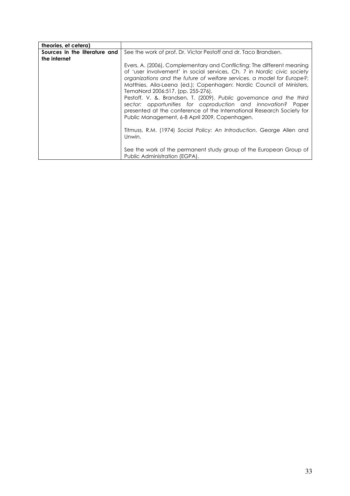| theories, et cetera)                          |                                                                                                                                                                                                                                                                                                                                                                                                                                                                                                                                                                                                                                                                                               |
|-----------------------------------------------|-----------------------------------------------------------------------------------------------------------------------------------------------------------------------------------------------------------------------------------------------------------------------------------------------------------------------------------------------------------------------------------------------------------------------------------------------------------------------------------------------------------------------------------------------------------------------------------------------------------------------------------------------------------------------------------------------|
| Sources in the literature and<br>the internet | See the work of prof. Dr. Victor Pestoff and dr. Taco Brandsen.                                                                                                                                                                                                                                                                                                                                                                                                                                                                                                                                                                                                                               |
|                                               | Evers, A. (2006), Complementary and Conflicting: The different meaning<br>of 'user involvement' in social services, Ch. 7 in Nordic civic society<br>organizations and the future of welfare services, a model for Europe?;<br>Matthies, Aila-Leena (ed.); Copenhagen: Nordic Council of Ministers,<br>TemaNord 2006:517. (pp. 255-276).<br>Pestoff, V. &. Brandsen, T. (2009). Public governance and the third<br>sector: opportunities for coproduction and innovation? Paper<br>presented at the conference of the International Research Society for<br>Public Management, 6-8 April 2009, Copenhagen.<br>Titmuss, R.M. (1974) Social Policy: An Introduction, George Allen and<br>Unwin. |
|                                               | See the work of the permanent study group of the European Group of<br>Public Administration (EGPA).                                                                                                                                                                                                                                                                                                                                                                                                                                                                                                                                                                                           |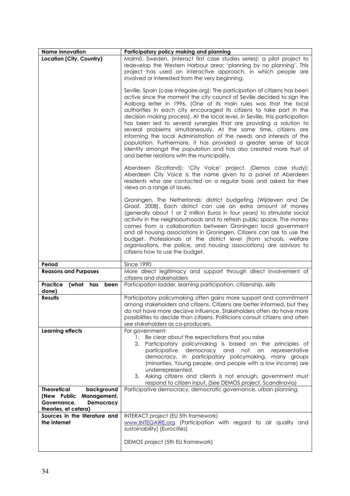| <b>Name innovation</b>           | Participatory policy making and planning                                                      |
|----------------------------------|-----------------------------------------------------------------------------------------------|
|                                  |                                                                                               |
| Location (City, Country)         | Malmö, Sweden, (Interact first case studies series): a pilot project to                       |
|                                  | redevelop the Western Harbour area: 'planning by no planning'. This                           |
|                                  | project has used an interactive approach, in which people are                                 |
|                                  | involved or interested from the very beginning.                                               |
|                                  |                                                                                               |
|                                  | Seville, Spain (case Integaire.org): The participation of citizens has been                   |
|                                  |                                                                                               |
|                                  | active since the moment the city council of Seville decided to sign the                       |
|                                  | Aalborg letter in 1996. (One of its main rules was that the local                             |
|                                  | authorities in each city encouraged its citizens to take part in the                          |
|                                  | decision making process). At the local level, in Seville, this participation                  |
|                                  | has been led to several synergies that are providing a solution to                            |
|                                  | several problems simultaneously. At the same time, citizens are                               |
|                                  | informing the local Administration of the needs and interests of the                          |
|                                  |                                                                                               |
|                                  | population. Furthermore, it has provided a greater sense of local                             |
|                                  | identity amongst the population and has also created more trust of                            |
|                                  | and better relations with the municipality.                                                   |
|                                  |                                                                                               |
|                                  | Aberdeen (Scotland): 'City Voice' project. (Demos case study):                                |
|                                  | Aberdeen City Voice is the name given to a panel of Aberdeen                                  |
|                                  | residents who are contacted on a regular basis and asked for their                            |
|                                  | views on a range of issues.                                                                   |
|                                  |                                                                                               |
|                                  |                                                                                               |
|                                  | Groningen, The Netherlands: district budgeting (Wijdeven and De                               |
|                                  | Graaf, 2008). Each district can use an extra amount of money                                  |
|                                  | (generally about 1 or 2 million Euros in four years) to stimulate social                      |
|                                  | activity in the neighbourhoods and to refresh public space. The money                         |
|                                  | comes from a collaboration between Groningen local government                                 |
|                                  | and all housing associations in Groningen. Citizens can ask to use the                        |
|                                  | budget. Professionals at the district level (from schools, welfare                            |
|                                  | organisations, the police, and housing associations) are advisors to                          |
|                                  |                                                                                               |
|                                  | citizens how to use the budget.                                                               |
| Period                           | <b>Since 1990</b>                                                                             |
|                                  |                                                                                               |
| <b>Reasons and Purposes</b>      | More direct legitimacy and support through direct involvement of<br>citizens and stakeholders |
|                                  |                                                                                               |
| Practice<br>(what has been       | Participation ladder, learning participation, citizenship, skills                             |
| done)                            |                                                                                               |
| <b>Results</b>                   | Participatory policymaking often gains more support and commitment                            |
|                                  | among stakeholders and citizens. Citizens are better informed, but they                       |
|                                  | do not have more decisive influence. Stakeholders often do have more                          |
|                                  | possibilities to decide than citizens. Politicians consult citizens and often                 |
|                                  | see stakeholders as co-producers.                                                             |
| <b>Learning effects</b>          | For government:                                                                               |
|                                  | Be clear about the expectations that you raise<br>1.                                          |
|                                  | Participatory policymaking is based on the principles of<br>2.                                |
|                                  | participative<br>democracy<br>and<br>not<br>on<br>representative                              |
|                                  |                                                                                               |
|                                  | democracy. In participatory policymaking, many groups                                         |
|                                  | (minorities, Young people, and people with a low income) are                                  |
|                                  | underrepresented.                                                                             |
|                                  | 3. Asking citizens and clients is not enough, government must                                 |
|                                  | respond to citizen input. (See DEMOS project, Scandinavia)                                    |
| <b>Theoretical</b><br>background | Participative democracy, democratic governance, urban planning.                               |
| (New Public<br>Management,       |                                                                                               |
| Governance,<br>Democracy         |                                                                                               |
| theories, et cetera)             |                                                                                               |
| Sources in the literature and    | INTERACT project (EU 5th framework)                                                           |
| the internet                     | www.INTEGAIRE.org (Participation with regard to air quality and                               |
|                                  | sustainability) (Eurocities)                                                                  |
|                                  |                                                                                               |
|                                  |                                                                                               |
|                                  | DEMOS project (5th EU framework)                                                              |
|                                  |                                                                                               |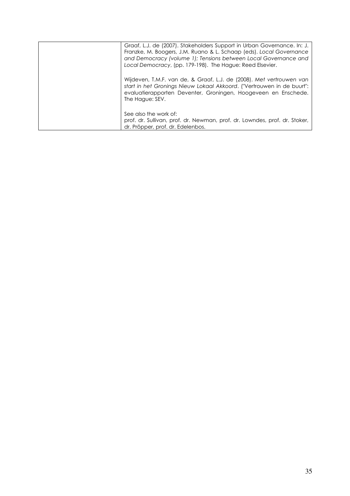| Graaf, L.J. de (2007). Stakeholders Support in Urban Governance. In: J.<br>Franzke, M. Boogers, J.M. Ruano & L. Schaap (eds). Local Governance<br>and Democracy (volume 1); Tensions between Local Governance and<br>Local Democracy, (pp. 179-198). The Hague: Reed Elsevier. |
|--------------------------------------------------------------------------------------------------------------------------------------------------------------------------------------------------------------------------------------------------------------------------------|
| Wijdeven, T.M.F. van de, & Graaf, L.J. de (2008). Met vertrouwen van<br>start in het Gronings Nieuw Lokaal Akkoord. ("Vertrouwen in de buurt":<br>evaluatierapporten Deventer, Groningen, Hoogeveen en Enschede.<br>The Hague: SEV.                                            |
| See also the work of:<br>prof. dr. Sullivan, prof. dr. Newman, prof. dr. Lowndes, prof. dr. Stoker,<br>dr. Pröpper, prof. dr. Edelenbos.                                                                                                                                       |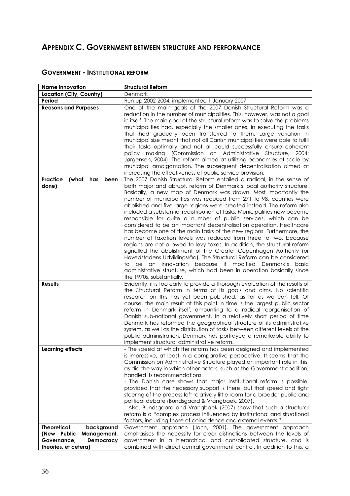# APPENDIX C. GOVERNMENT BETWEEN STRUCTURE AND PERFORMANCE

| <b>Name innovation</b>               | <b>Structural Reform</b>                                                                                                                            |
|--------------------------------------|-----------------------------------------------------------------------------------------------------------------------------------------------------|
| Location (City, Country)             | Denmark                                                                                                                                             |
| Period                               | Run-up 2002-2004; implemented 1 January 2007                                                                                                        |
| <b>Reasons and Purposes</b>          | One of the main goals of the 2007 Danish Structural Reform was a                                                                                    |
|                                      | reduction in the number of municipalities. This, however, was not a goal                                                                            |
|                                      | in itself. The main goal of the structural reform was to solve the problems                                                                         |
|                                      | municipalities had, especially the smaller ones, in executing the tasks                                                                             |
|                                      | that had gradually been transferred to them. Large variation in                                                                                     |
|                                      | municipal size meant that not all Danish municipalities were able to fulfil                                                                         |
|                                      | their tasks optimally and not all could successfully ensure coherent                                                                                |
|                                      | policy making (Commission on Administrative<br>Structure, 2004;                                                                                     |
|                                      | Jørgensen, 2004). The reform aimed at utilizing economies of scale by                                                                               |
|                                      | municipal amalgamation. The subsequent decentralisation aimed at                                                                                    |
|                                      | increasing the effectiveness of public service provision.                                                                                           |
| <b>Practice</b><br>(what has<br>been | The 2007 Danish Structural Reform entailed a radical, in the sense of                                                                               |
| done)                                | both major and abrupt, reform of Denmark's local authority structure.                                                                               |
|                                      | Basically, a new map of Denmark was drawn. Most importantly the                                                                                     |
|                                      | number of municipalities was reduced from 271 to 98, counties were                                                                                  |
|                                      | abolished and five large regions were created instead. The reform also                                                                              |
|                                      | included a substantial redistribution of tasks. Municipalities now become                                                                           |
|                                      | responsible for quite a number of public services, which can be                                                                                     |
|                                      | considered to be an important decentralisation operation. Healthcare                                                                                |
|                                      | has become one of the main tasks of the new regions. Furthermore, the                                                                               |
|                                      | number of taxation levels was reduced from three to two, because                                                                                    |
|                                      | regions are not allowed to levy taxes. In addition, the structural reform                                                                           |
|                                      | signalled the abolishment of the Greater Copenhagen Authority (or                                                                                   |
|                                      | Hovedstadens Udviklingsråd). The Structural Reform can be considered                                                                                |
|                                      | be an innovation because it modified Denmark's basic<br>to                                                                                          |
|                                      | administrative structure, which had been in operation basically since                                                                               |
|                                      | the 1970s, substantially.                                                                                                                           |
| <b>Results</b>                       | Evidently, it is too early to provide a thorough evaluation of the results of                                                                       |
|                                      | the Structural Reform in terms of its goals and aims. No scientific                                                                                 |
|                                      | research on this has yet been published, as far as we can tell. Of                                                                                  |
|                                      | course, the main result at this point in time is the largest public sector                                                                          |
|                                      | reform in Denmark itself, amounting to a radical reorganisation of                                                                                  |
|                                      | Danish sub-national government. In a relatively short period of time                                                                                |
|                                      | Denmark has reformed the geographical structure of its administrative                                                                               |
|                                      | system, as well as the distribution of tasks between different levels of the                                                                        |
|                                      | public administration. Denmark has portrayed a remarkable ability to                                                                                |
|                                      | implement structural administrative reform.                                                                                                         |
| <b>Learning effects</b>              | - The speed at which the reform has been designed and implemented                                                                                   |
|                                      | is impressive, at least in a comparative perspective. It seems that the                                                                             |
|                                      | Commission on Administrative Structure played an important role in this,<br>as did the way in which other actors, such as the Government coalition, |
|                                      | handled its recommendations.                                                                                                                        |
|                                      | - The Danish case shows that major institutional reform is possible,                                                                                |
|                                      | provided that the necessary support is there, but that speed and tight                                                                              |
|                                      | steering of the process left relatively little room for a broader public and                                                                        |
|                                      | political debate (Bundsgaard & Vrangbaek, 2007).                                                                                                    |
|                                      | - Also, Bundsgaard and Vrangbaek (2007) show that such a structural                                                                                 |
|                                      | reform is a "complex process influenced by institutional and situational                                                                            |
|                                      | factors, including those of coincidence and external events."                                                                                       |
| <b>Theoretical</b><br>background     | Government approach (John, 2001). The government approach                                                                                           |
| (New Public<br>Management,           | emphasises the necessity for clear distinctions between the levels of                                                                               |
| Democracy<br>Governance,             | government in a hierarchical and consolidated structure, and is                                                                                     |
| theories, et cetera)                 | combined with direct central government control. In addition to this, a                                                                             |

#### **GOVERNMENT - INSTITUTIONAL REFORM**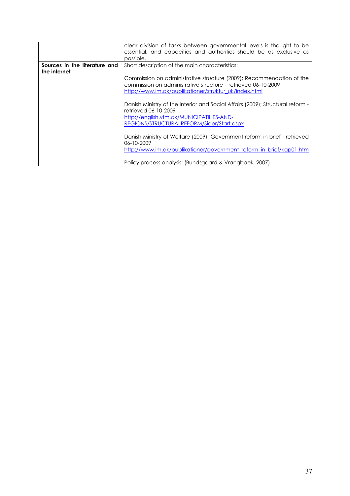|                                               | clear division of tasks between governmental levels is thought to be<br>essential, and capacities and authorities should be as exclusive as                                                      |
|-----------------------------------------------|--------------------------------------------------------------------------------------------------------------------------------------------------------------------------------------------------|
|                                               | possible.                                                                                                                                                                                        |
| Sources in the literature and<br>the internet | Short description of the main characteristics:                                                                                                                                                   |
|                                               | Commission on administrative structure (2009); Recommendation of the<br>commission on administrative structure - retrieved 06-10-2009<br>http://www.im.dk/publikationer/struktur_uk/index.html   |
|                                               | Danish Ministry of the Interior and Social Affairs (2009); Structural reform -<br>retrieved 06-10-2009<br>http://english.vfm.dk/MUNICIPATILIES-AND-<br>REGIONS/STRUCTURALREFORM/Sider/Start.aspx |
|                                               | Danish Ministry of Welfare (2009); Government reform in brief - retrieved<br>06-10-2009<br>http://www.im.dk/publikationer/government_reform_in_brief/kap01.htm                                   |
|                                               | Policy process analysis: (Bundsgaard & Vrangbaek, 2007)                                                                                                                                          |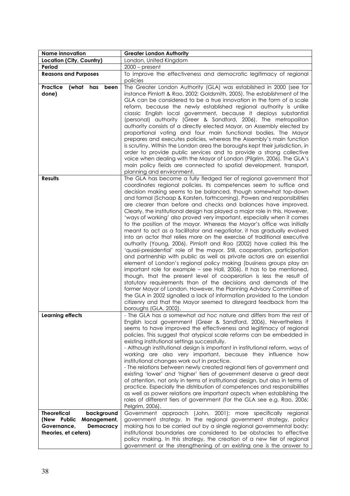| <b>Name innovation</b>                                                                                             | <b>Greater London Authority</b>                                                                                                                                                                                                                                                                                                                                                                                                                                                                                                                                                                                                                                                                                                                                                                                                                                                                                                                                                                                                                                                                                                                                                                                                                                                                                                                                                                                                                                                                                           |
|--------------------------------------------------------------------------------------------------------------------|---------------------------------------------------------------------------------------------------------------------------------------------------------------------------------------------------------------------------------------------------------------------------------------------------------------------------------------------------------------------------------------------------------------------------------------------------------------------------------------------------------------------------------------------------------------------------------------------------------------------------------------------------------------------------------------------------------------------------------------------------------------------------------------------------------------------------------------------------------------------------------------------------------------------------------------------------------------------------------------------------------------------------------------------------------------------------------------------------------------------------------------------------------------------------------------------------------------------------------------------------------------------------------------------------------------------------------------------------------------------------------------------------------------------------------------------------------------------------------------------------------------------------|
| Location (City, Country)                                                                                           | London, United Kingdom                                                                                                                                                                                                                                                                                                                                                                                                                                                                                                                                                                                                                                                                                                                                                                                                                                                                                                                                                                                                                                                                                                                                                                                                                                                                                                                                                                                                                                                                                                    |
| Period                                                                                                             | $2000$ – present                                                                                                                                                                                                                                                                                                                                                                                                                                                                                                                                                                                                                                                                                                                                                                                                                                                                                                                                                                                                                                                                                                                                                                                                                                                                                                                                                                                                                                                                                                          |
| <b>Reasons and Purposes</b>                                                                                        | To improve the effectiveness and democratic legitimacy of regional<br>policies                                                                                                                                                                                                                                                                                                                                                                                                                                                                                                                                                                                                                                                                                                                                                                                                                                                                                                                                                                                                                                                                                                                                                                                                                                                                                                                                                                                                                                            |
| <b>Practice</b><br>(what has<br>been<br>done)                                                                      | The Greater London Authority (GLA) was established in 2000 (see for<br>instance Pimlott & Rao, 2002; Goldsmith, 2005). The establishment of the<br>GLA can be considered to be a true innovation in the form of a scale<br>reform, because the newly established regional authority is unlike<br>classic English local government, because it deploys substantial<br>(personal) authority (Greer & Sandford, 2006). The metropolitan<br>authority consists of a directly elected Mayor, an Assembly elected by<br>proportional voting and four main functional bodies. The Mayor<br>prepares and executes policies, whereas the Assembly's main function<br>is scrutiny. Within the London area the boroughs kept their jurisdiction, in<br>order to provide public services and to provide a strong collective<br>voice when dealing with the Mayor of London (Pilgrim, 2006). The GLA's<br>main policy fields are connected to spatial development, transport,<br>planning and environment.                                                                                                                                                                                                                                                                                                                                                                                                                                                                                                                             |
| <b>Results</b>                                                                                                     | The GLA has become a fully fledged tier of regional government that<br>coordinates regional policies. Its competences seem to suffice and<br>decision making seems to be balanced, though somewhat top-down<br>and formal (Schaap & Karsten, forthcoming). Powers and responsibilities<br>are clearer than before and checks and balances have improved.<br>Clearly, the institutional design has played a major role in this. However,<br>'ways of working' also proved very important, especially when it comes<br>to the position of the mayor. Whereas the Mayor's office was initially<br>meant to act as a facilitator and negotiator, it has gradually evolved<br>into an actor that relies more on the exercise of traditional executive<br>authority (Young, 2006). Pimlott and Rao (2002) have called this the<br>'quasi-presidential' role of the mayor. Still, cooperation, participation<br>and partnership with public as well as private actors are an essential<br>element of London's regional policy making (business groups play an<br>important role for example - see Hall, 2006). It has to be mentioned,<br>though, that the present level of cooperation is less the result of<br>statutory requirements than of the decisions and demands of the<br>former Mayor of London. However, the Planning Advisory Committee of<br>the GLA in 2002 signalled a lack of information provided to the London<br>citizenry and that the Mayor seemed to disregard feedback from the<br>boroughs (GLA, 2002). |
| <b>Learning effects</b>                                                                                            | - The GLA has a somewhat ad hoc nature and differs from the rest of<br>English local government (Greer & Sandford, 2006). Nevertheless it<br>seems to have improved the effectiveness and legitimacy of regional<br>policies. This suggest that atypical scale reforms can be embedded in<br>existing institutional settings successfully.<br>- Although institutional design is important in institutional reform, ways of<br>working are also very important, because they influence how<br>institutional changes work out in practice.<br>- The relations between newly created regional tiers of government and<br>existing 'lower' and 'higher' tiers of government deserve a great deal<br>of attention, not only in terms of institutional design, but also in terms of<br>practice. Especially the distribution of competences and responsibilities<br>as well as power relations are important aspects when establishing the<br>roles of different tiers of government (for the GLA see e.g. Rao, 2006;<br>Pelgrim, 2006).                                                                                                                                                                                                                                                                                                                                                                                                                                                                                       |
| <b>Theoretical</b><br>background<br>(New Public<br>Management,<br>Governance,<br>Democracy<br>theories, et cetera) | Government approach (John, 2001); more specifically regional<br>government strategy. In the regional government strategy, policy<br>making has to be carried out by a single regional governmental body;<br>institutional boundaries are considered to be obstacles to effective<br>policy making. In this strategy, the creation of a new tier of regional<br>government or the strengthening of an existing one is the answer to                                                                                                                                                                                                                                                                                                                                                                                                                                                                                                                                                                                                                                                                                                                                                                                                                                                                                                                                                                                                                                                                                        |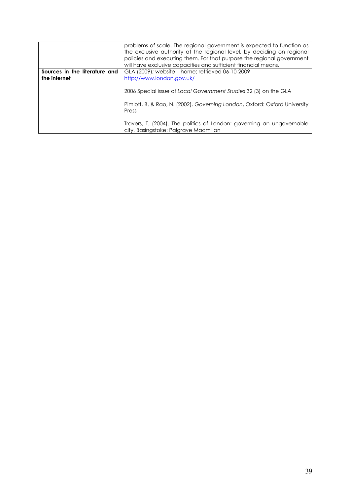|                               | problems of scale. The regional government is expected to function as<br>the exclusive authority at the regional level, by deciding on regional<br>policies and executing them. For that purpose the regional government<br>will have exclusive capacities and sufficient financial means. |
|-------------------------------|--------------------------------------------------------------------------------------------------------------------------------------------------------------------------------------------------------------------------------------------------------------------------------------------|
| Sources in the literature and | GLA (2009); website - home; retrieved 06-10-2009                                                                                                                                                                                                                                           |
| the internet                  | http://www.london.gov.uk/                                                                                                                                                                                                                                                                  |
|                               | 2006 Special issue of Local Government Studies 32 (3) on the GLA<br>Pimlott, B. & Rao, N. (2002). Governing London, Oxford: Oxford University<br>Press<br>Travers, T. (2004). The politics of London: governing an ungovernable<br>city, Basingstoke: Palgrave Macmillan                   |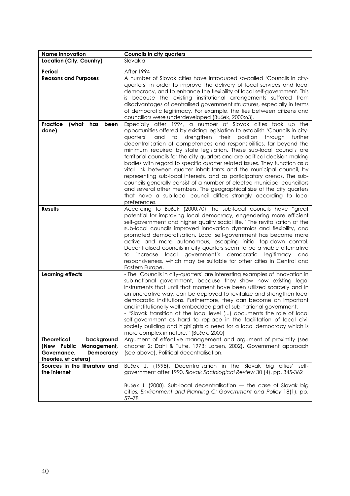| <b>Name innovation</b>                                                                                             | <b>Councils in city quarters</b>                                                                                                                                                                                                                                                                                                                                                                                                                                                                                                                                                                                                                                                                                                                                                                                                                                                                                                |
|--------------------------------------------------------------------------------------------------------------------|---------------------------------------------------------------------------------------------------------------------------------------------------------------------------------------------------------------------------------------------------------------------------------------------------------------------------------------------------------------------------------------------------------------------------------------------------------------------------------------------------------------------------------------------------------------------------------------------------------------------------------------------------------------------------------------------------------------------------------------------------------------------------------------------------------------------------------------------------------------------------------------------------------------------------------|
| Location (City, Country)                                                                                           | Slovakia                                                                                                                                                                                                                                                                                                                                                                                                                                                                                                                                                                                                                                                                                                                                                                                                                                                                                                                        |
| Period                                                                                                             | After 1994                                                                                                                                                                                                                                                                                                                                                                                                                                                                                                                                                                                                                                                                                                                                                                                                                                                                                                                      |
| <b>Reasons and Purposes</b>                                                                                        | A number of Slovak cities have introduced so-called 'Councils in city-<br>quarters' in order to improve the delivery of local services and local<br>democracy, and to enhance the flexibility of local self-government. This<br>is because the existing institutional arrangements suffered from<br>disadvantages of centralised government structures, especially in terms<br>of democratic legitimacy. For example, the ties between citizens and<br>councillors were underdeveloped (Buček, 2000:63).                                                                                                                                                                                                                                                                                                                                                                                                                        |
| Practice<br>(what has<br>been<br>done)                                                                             | Especially after 1994, a number of Slovak cities took up the<br>opportunities offered by existing legislation to establish 'Councils in city-<br>and to strengthen their<br>position<br>through<br>quarters'<br>further<br>decentralisation of competences and responsibilities, far beyond the<br>minimum required by state legislation. These sub-local councils are<br>territorial councils for the city quarters and are political decision-making<br>bodies with regard to specific quarter related issues. They function as a<br>vital link between quarter inhabitants and the municipal council, by<br>representing sub-local interests, and as participatory arenas. The sub-<br>councils generally consist of a number of elected municipal councillors<br>and several other members. The geographical size of the city quarters<br>that have a sub-local council differs strongly according to local<br>preferences. |
| <b>Results</b>                                                                                                     | According to Buček (2000:70) the sub-local councils have "great<br>potential for improving local democracy, engendering more efficient<br>self-government and higher quality social life." The revitalisation of the<br>sub-local councils improved innovation dynamics and flexibility, and<br>promoted democratisation. Local self-government has become more<br>active and more autonomous, escaping initial top-down control.<br>Decentralised councils in city quarters seem to be a viable alternative<br>government's democratic<br>increase<br>local<br>legitimacy and<br>to<br>responsiveness, which may be suitable for other cities in Central and<br>Eastern Europe.                                                                                                                                                                                                                                                |
| <b>Learning effects</b>                                                                                            | - The 'Councils in city-quarters' are interesting examples of innovation in<br>sub-national government, because they show how existing legal<br>instruments that until that moment have been utilized scarcely and in<br>an uncreative way, can be deployed to revitalize and strengthen local<br>democratic institutions. Furthermore, they can become an important<br>and institutionally well-embedded part of sub-national government.<br>"Slovak transition at the local level () documents the role of local<br>self-government as hard to replace in the facilitation of local civil<br>society building and highlights a need for a local democracy which is<br>more complex in nature." (Buček, 2000)                                                                                                                                                                                                                  |
| <b>Theoretical</b><br>background<br>(New Public<br>Management,<br>Governance,<br>Democracy<br>theories, et cetera) | Argument of effective management and argument of proximity (see<br>chapter 2; Dahl & Tufte, 1973; Larsen, 2002). Government approach<br>(see above). Political decentralisation.                                                                                                                                                                                                                                                                                                                                                                                                                                                                                                                                                                                                                                                                                                                                                |
| Sources in the literature and<br>the internet                                                                      | Buček J. (1998). Decentralisation in the Slovak big cities'<br>selt-<br>government after 1990, Slovak Sociological Review 30 (4), pp. 345-362<br>Buček J. (2000). Sub-local decentralisation — the case of Slovak big                                                                                                                                                                                                                                                                                                                                                                                                                                                                                                                                                                                                                                                                                                           |
|                                                                                                                    | cities, Environment and Planning C: Government and Policy 18(1), pp.<br>$57 - 78$                                                                                                                                                                                                                                                                                                                                                                                                                                                                                                                                                                                                                                                                                                                                                                                                                                               |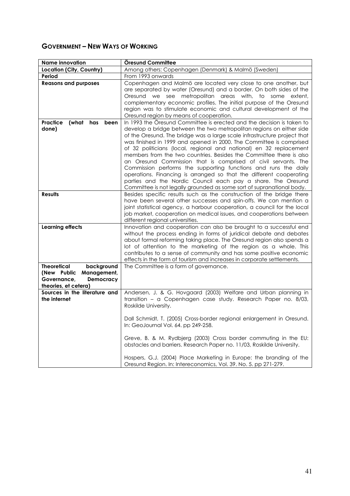### **GOVERNMENT - NEW WAYS OF WORKING**

| <b>Name innovation</b>                           | Öresund Committee                                                        |
|--------------------------------------------------|--------------------------------------------------------------------------|
| Location (City, Country)                         | Among others: Copenhagen (Denmark) & Malmö (Sweden)                      |
| Period                                           | From 1993 onwards                                                        |
| <b>Reasons and purposes</b>                      | Copenhagen and Malmö are located very close to one another, but          |
|                                                  | are separated by water (Oresund) and a border. On both sides of the      |
|                                                  | Oresund we see metropolitan areas with, to some extent,                  |
|                                                  | complementary economic profiles. The initial purpose of the Oresund      |
|                                                  | region was to stimulate economic and cultural development of the         |
|                                                  | Oresund region by means of cooperation.                                  |
| Practice<br>(what<br>has<br>been                 | In 1993 the Öresund Committee is erected and the decision is taken to    |
| done)                                            | develop a bridge between the two metropolitan regions on either side     |
|                                                  | of the Oresund. The bridge was a large scale infrastructure project that |
|                                                  | was finished in 1999 and opened in 2000. The Committee is comprised      |
|                                                  | of 32 politicians (local, regional and national) en 32 replacement       |
|                                                  | members from the two countries. Besides the Committee there is also      |
|                                                  | an Oresund Commission that is comprised of civil servants. The           |
|                                                  | Commission performs the supporting functions and runs the daily          |
|                                                  | operations. Financing is arranged so that the different cooperating      |
|                                                  | parties and the Nordic Council each pay a share. The Oresund             |
|                                                  | Committee is not legally grounded as some sort of supranational body.    |
| <b>Results</b>                                   | Besides specific results such as the construction of the bridge there    |
|                                                  | have been several other successes and spin-offs. We can mention a        |
|                                                  | joint statistical agency, a harbour cooperation, a council for the local |
|                                                  | job market, cooperation on medical issues, and cooperations between      |
|                                                  | different regional universities.                                         |
| <b>Learning effects</b>                          | Innovation and cooperation can also be brought to a successful end       |
|                                                  | without the process ending in forms of juridical debate and debates      |
|                                                  | about formal reforming taking place. The Oresund region also spends a    |
|                                                  | lot of attention to the marketing of the region as a whole. This         |
|                                                  | contributes to a sense of community and has some positive economic       |
|                                                  | effects in the form of tourism and increases in corporate settlements.   |
| <b>Theoretical</b><br>background                 | The Committee is a form of governance.                                   |
| (New Public<br>Management,                       |                                                                          |
| Governance,<br>Democracy<br>theories, et cetera) |                                                                          |
| Sources in the literature and                    | Andersen, J. & G. Hovgaard (2003) Welfare and Urban planning in          |
| the internet                                     | transition - a Copenhagen case study. Research Paper no. 8/03,           |
|                                                  | Roskilde University.                                                     |
|                                                  |                                                                          |
|                                                  | Dall Schmidt, T. (2005) Cross-border regional enlargement in Oresund.    |
|                                                  | In: GeoJournal Vol. 64. pp 249-258.                                      |
|                                                  |                                                                          |
|                                                  | Greve, B. & M. Rydbjerg (2003) Cross border commuting in the EU:         |
|                                                  | obstacles and barriers. Research Paper no. 11/03, Roskilde University.   |
|                                                  |                                                                          |
|                                                  | Hospers, G.J. (2004) Place Marketing in Europe: the branding of the      |
|                                                  | Oresund Region. In: Intereconomics, Vol. 39. No. 5. pp 271-279.          |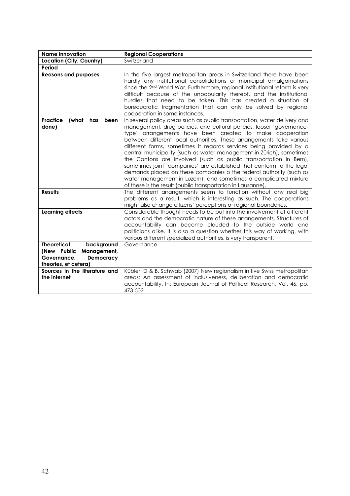| <b>Name innovation</b>                                                                                             | <b>Regional Cooperations</b>                                                                                                                                                                                                                                                                                                                                                                                                                                                                                                                                                                                                                                                                                                                                                                |
|--------------------------------------------------------------------------------------------------------------------|---------------------------------------------------------------------------------------------------------------------------------------------------------------------------------------------------------------------------------------------------------------------------------------------------------------------------------------------------------------------------------------------------------------------------------------------------------------------------------------------------------------------------------------------------------------------------------------------------------------------------------------------------------------------------------------------------------------------------------------------------------------------------------------------|
| Location (City, Country)                                                                                           | Switzerland                                                                                                                                                                                                                                                                                                                                                                                                                                                                                                                                                                                                                                                                                                                                                                                 |
| Period                                                                                                             |                                                                                                                                                                                                                                                                                                                                                                                                                                                                                                                                                                                                                                                                                                                                                                                             |
| <b>Reasons and purposes</b>                                                                                        | In the five largest metropolitan areas in Switzerland there have been<br>hardly any institutional consolidations or municipal amalgamations<br>since the 2 <sup>nd</sup> World War. Furthermore, regional institutional reform is very<br>difficult because of the unpopularity thereof, and the institutional<br>hurdles that need to be taken. This has created a situation of<br>bureaucratic fragmentation that can only be solved by regional<br>cooperation in some instances.                                                                                                                                                                                                                                                                                                        |
| <b>Practice</b><br>(what<br>has<br>been<br>done)                                                                   | In several policy areas such as public transportation, water delivery and<br>management, drug policies, and cultural policies, looser 'governance-<br>type' arrangements have been created to make cooperation<br>between different local authorities. These arrangements take various<br>different forms, sometimes it regards services being provided by a<br>central municipality (such as water management in Zürich), sometimes<br>the Cantons are involved (such as public transportation in Bern),<br>sometimes joint 'companies' are established that conform to the legal<br>demands placed on these companies b the federal authority (such as<br>water management in Luzern), and sometimes a complicated mixture<br>of these is the result (public transportation in Lausanne). |
| <b>Results</b>                                                                                                     | The different arrangements seem to function without any real big<br>problems as a result, which is interesting as such. The cooperations<br>might also change citizens' perceptions of regional boundaries.                                                                                                                                                                                                                                                                                                                                                                                                                                                                                                                                                                                 |
| <b>Learning effects</b>                                                                                            | Considerable thought needs to be put into the involvement of different<br>actors and the democratic nature of these arrangements. Structures of<br>accountability can become clouded to the outside world and<br>politicians alike. It is also a question whether this way of working, with<br>various different specialized authorities, is very transparent.                                                                                                                                                                                                                                                                                                                                                                                                                              |
| <b>Theoretical</b><br>background<br>(New Public<br>Management,<br>Governance.<br>Democracy<br>theories, et cetera) | Governance                                                                                                                                                                                                                                                                                                                                                                                                                                                                                                                                                                                                                                                                                                                                                                                  |
| Sources in the literature and<br>the internet                                                                      | Kübler, D & B. Schwab (2007) New regionalism in five Swiss metropolitan<br>areas: An assessment of inclusiveness, deliberation and democratic<br>accountability. In: European Journal of Political Research, Vol. 46. pp.<br>473-502                                                                                                                                                                                                                                                                                                                                                                                                                                                                                                                                                        |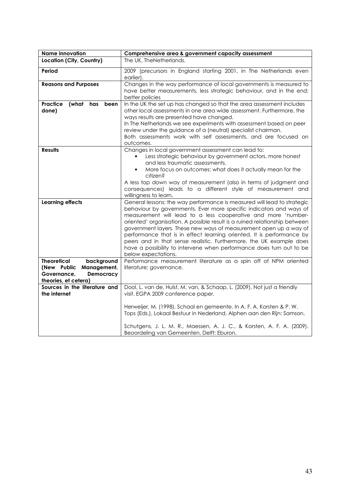| <b>Name innovation</b>                                                                                                    | Comprehensive area & government capacity assessment                                                                                                                                                                                                                                                                                                                                                                                                                                                                                                                                                               |
|---------------------------------------------------------------------------------------------------------------------------|-------------------------------------------------------------------------------------------------------------------------------------------------------------------------------------------------------------------------------------------------------------------------------------------------------------------------------------------------------------------------------------------------------------------------------------------------------------------------------------------------------------------------------------------------------------------------------------------------------------------|
| Location (City, Country)                                                                                                  | The UK, TheNetherlands.                                                                                                                                                                                                                                                                                                                                                                                                                                                                                                                                                                                           |
| Period                                                                                                                    | 2009 (precursors in England starting 2001, in The Netherlands even<br>earlier).                                                                                                                                                                                                                                                                                                                                                                                                                                                                                                                                   |
| <b>Reasons and Purposes</b>                                                                                               | Changes in the way performance of local governments is measured to<br>have better measurements, less strategic behaviour, and in the end:<br>better policies                                                                                                                                                                                                                                                                                                                                                                                                                                                      |
| Practice<br>(what<br>has been<br>done)                                                                                    | In the UK the set up has changed so that the area assessment includes<br>other local assessments in one area wide assessment. Furthermore, the<br>ways results are presented have changed.<br>In The Netherlands we see experiments with assessment based on peer<br>review under the guidance of a (neutral) specialist chairman.<br>Both assessments work with self assessments, and are focused on<br>outcomes.                                                                                                                                                                                                |
| <b>Results</b>                                                                                                            | Changes in local government assessment can lead to:<br>Less strategic behaviour by government actors, more honest<br>and less traumatic assessments.<br>More focus on outcomes: what does it actually mean for the<br>citizen?<br>A less top down way of measurement (also in terms of judgment and<br>consequences) leads to a different style of measurement and<br>willingness to learn.                                                                                                                                                                                                                       |
| <b>Learning effects</b>                                                                                                   | General lessons: the way performance is measured will lead to strategic<br>behaviour by governments. Ever more specific indicators and ways of<br>measurement will lead to a less cooperative and more 'number-<br>oriented' organisation. A possible result is a ruined relationship between<br>government layers. These new ways of measurement open up a way of<br>performance that is in effect learning oriented. It is performance by<br>peers and in that sense realistic. Furthermore, the UK example does<br>have a possibility to intervene when performance does turn out to be<br>below expectations. |
| <b>Theoretical</b><br>background<br>(New Public<br>Management,<br>Governance,<br><b>Democracy</b><br>theories, et cetera) | Performance measurement literature as a spin off of NPM oriented<br>literature; governance.                                                                                                                                                                                                                                                                                                                                                                                                                                                                                                                       |
| Sources in the literature and<br>the internet                                                                             | Dool, L. van de, Hulst, M. van, & Schaap, L. (2009). Not just a friendly<br>visit. EGPA 2009 conference paper.<br>Herweijer, M. (1998). Schaal en gemeente. In A. F. A. Korsten & P. W.<br>Tops (Eds.), Lokaal Bestuur in Nederland. Alphen aan den Rijn: Samson.<br>Schutgens, J. L. M. R., Maessen, A. J. C., & Korsten, A. F. A. (2009).<br>Beoordeling van Gemeenten. Delft: Eburon.                                                                                                                                                                                                                          |